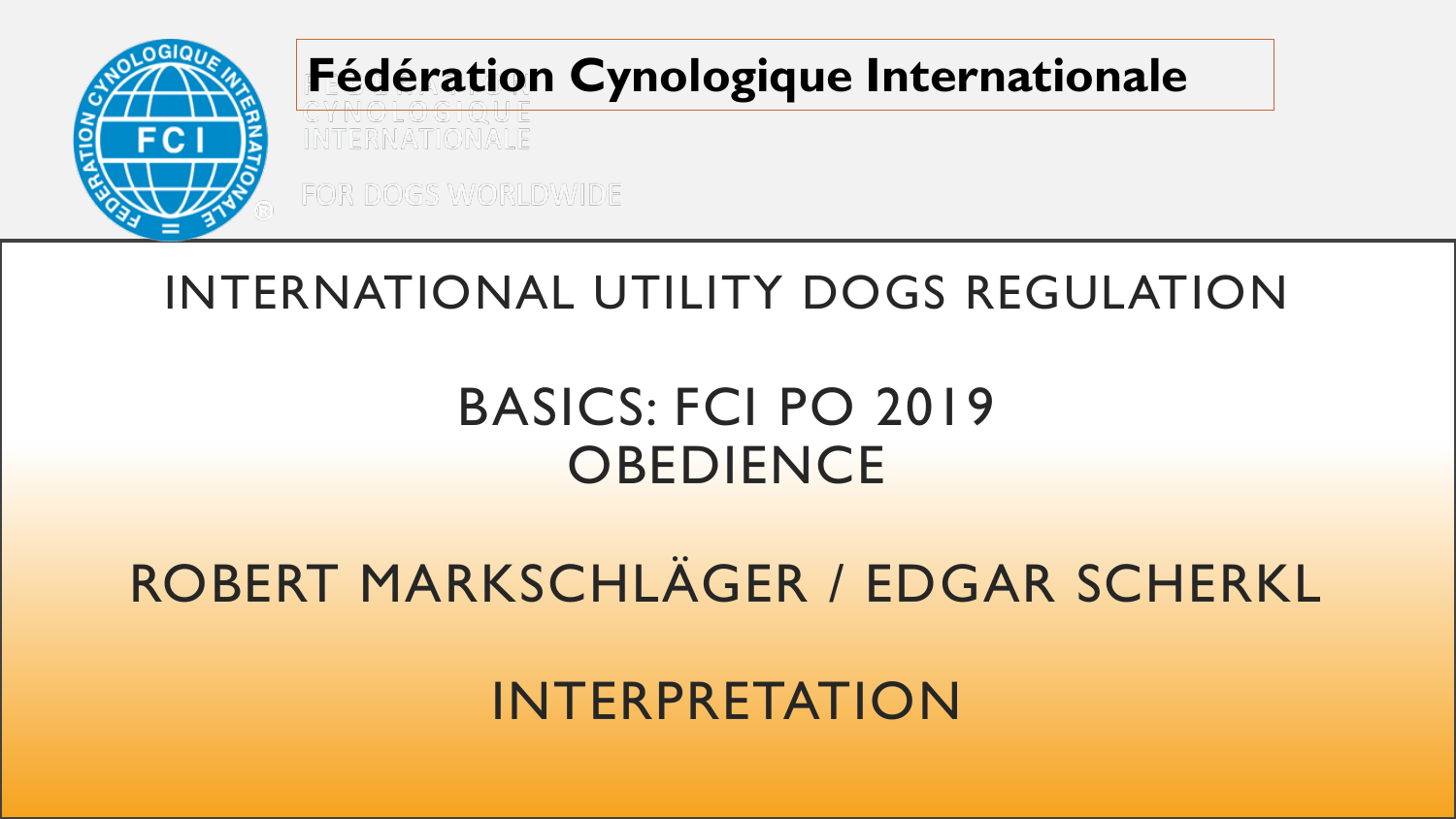

#### **Fédération Cynologique Internationale**

#### INTERNATIONAL UTILITY DOGS REGULATION

#### BASICS: FCI PO 2019 **OBEDIENCE**

#### ROBERT MARKSCHLÄGER / EDGAR SCHERKL

INTERPRETATION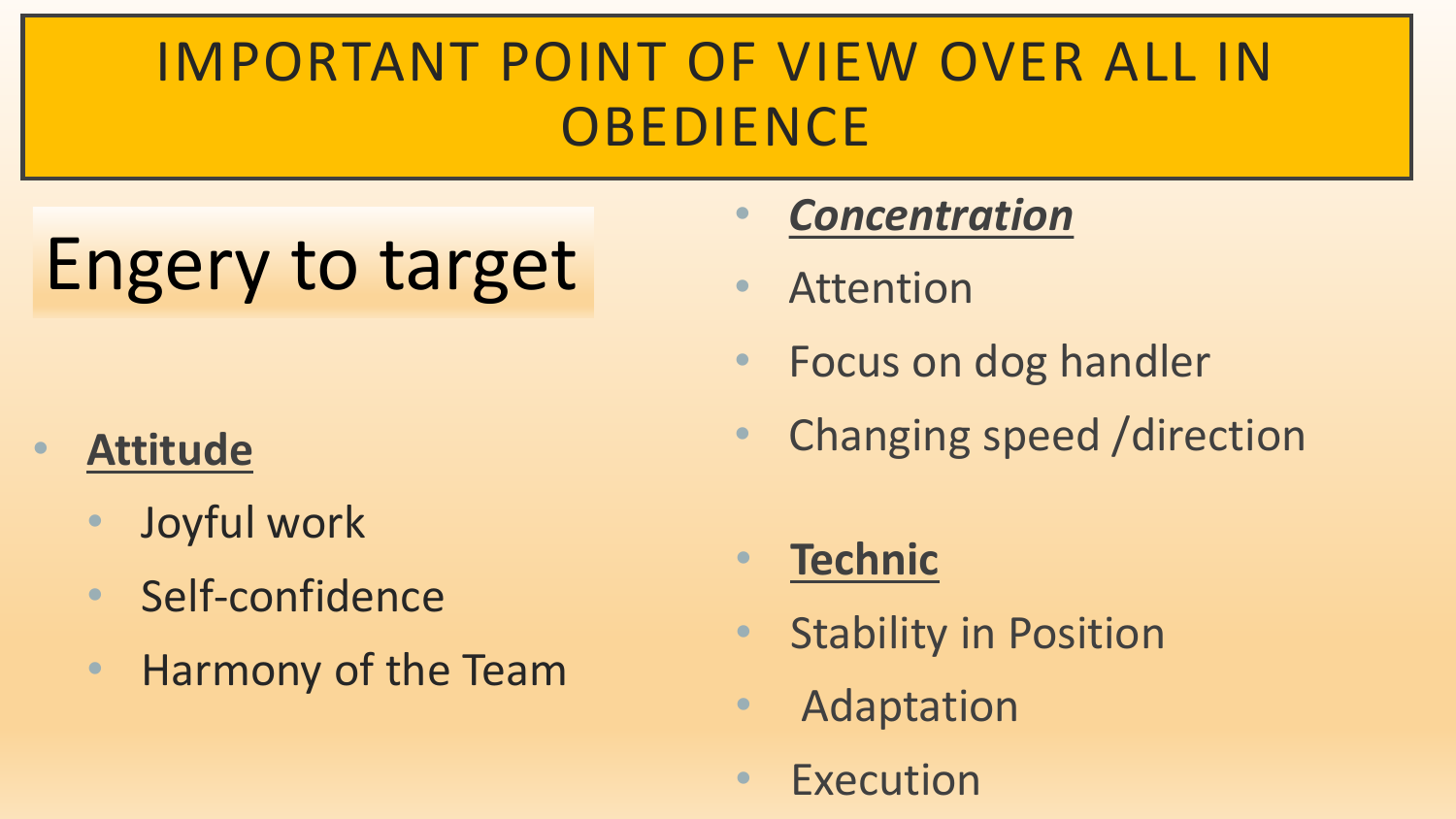### IMPORTANT POINT OF VIEW OVER ALL IN **OBEDIENCE**

# Engery to target

#### • **Attitude**

- Joyful work
- Self-confidence
- Harmony of the Team

#### • *Concentration*

- Attention
- Focus on dog handler
- Changing speed /direction

#### • **Technic**

- Stability in Position
- Adaptation
- Execution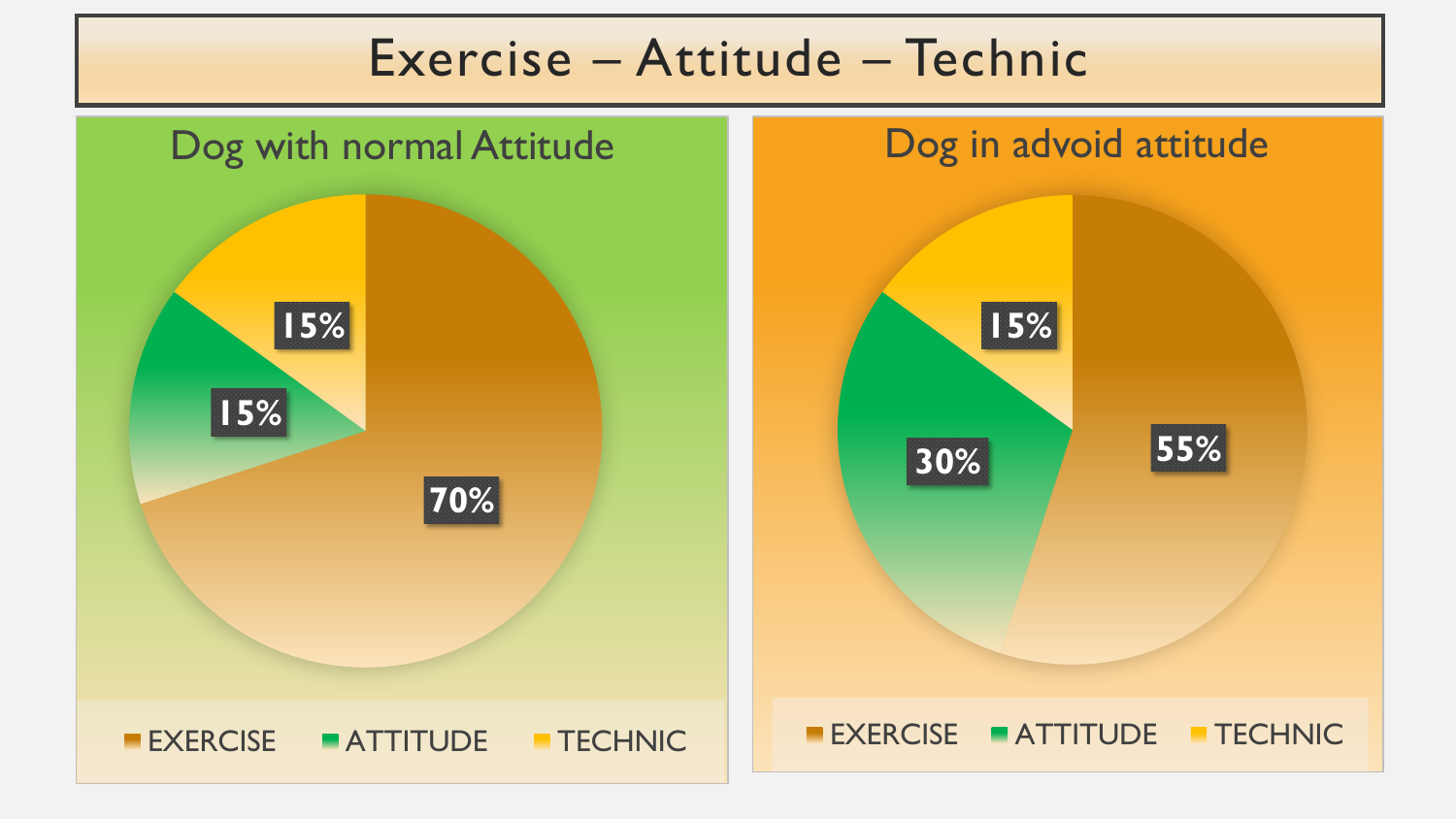#### Exercise – Attitude – Technic



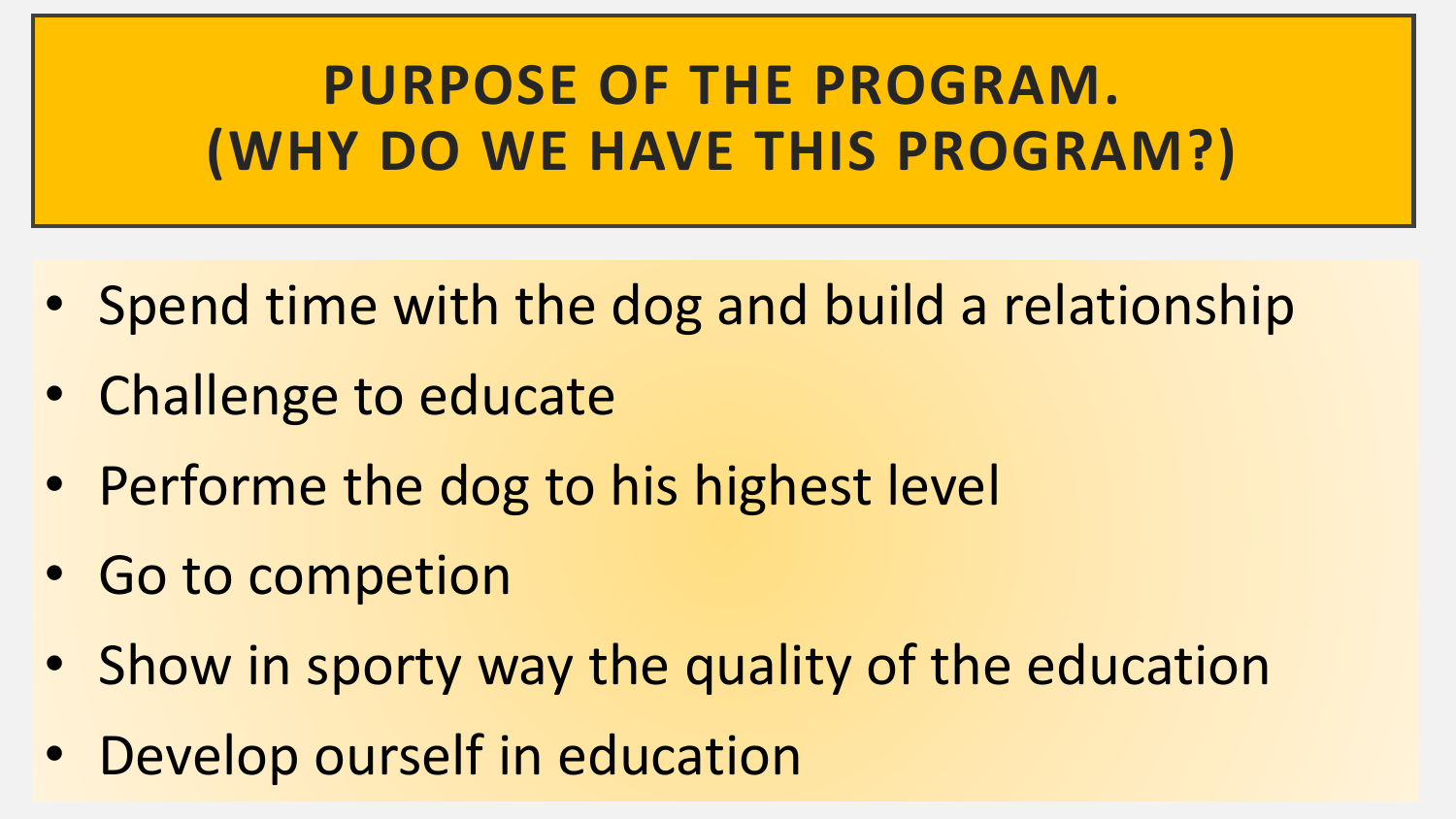**PURPOSE OF THE PROGRAM. (WHY DO WE HAVE THIS PROGRAM?)**

- Spend time with the dog and build a relationship
- Challenge to educate
- Performe the dog to his highest level
- Go to competion
- Show in sporty way the quality of the education
- Develop ourself in education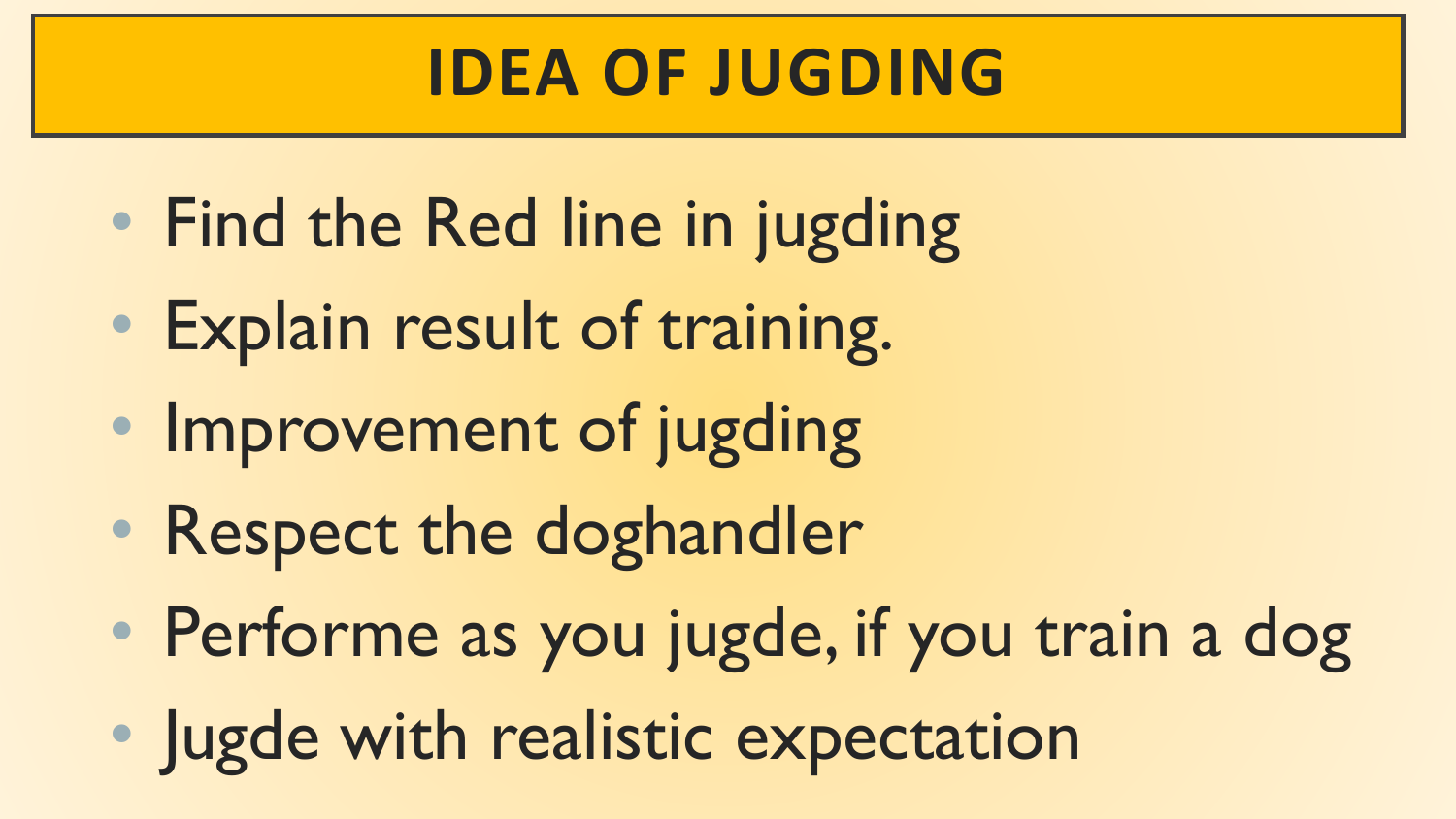## **IDEA OF JUGDING**

- Find the Red line in jugding
- Explain result of training.
- Improvement of jugding
- Respect the doghandler
- Performe as you jugde, if you train a dog
- Jugde with realistic expectation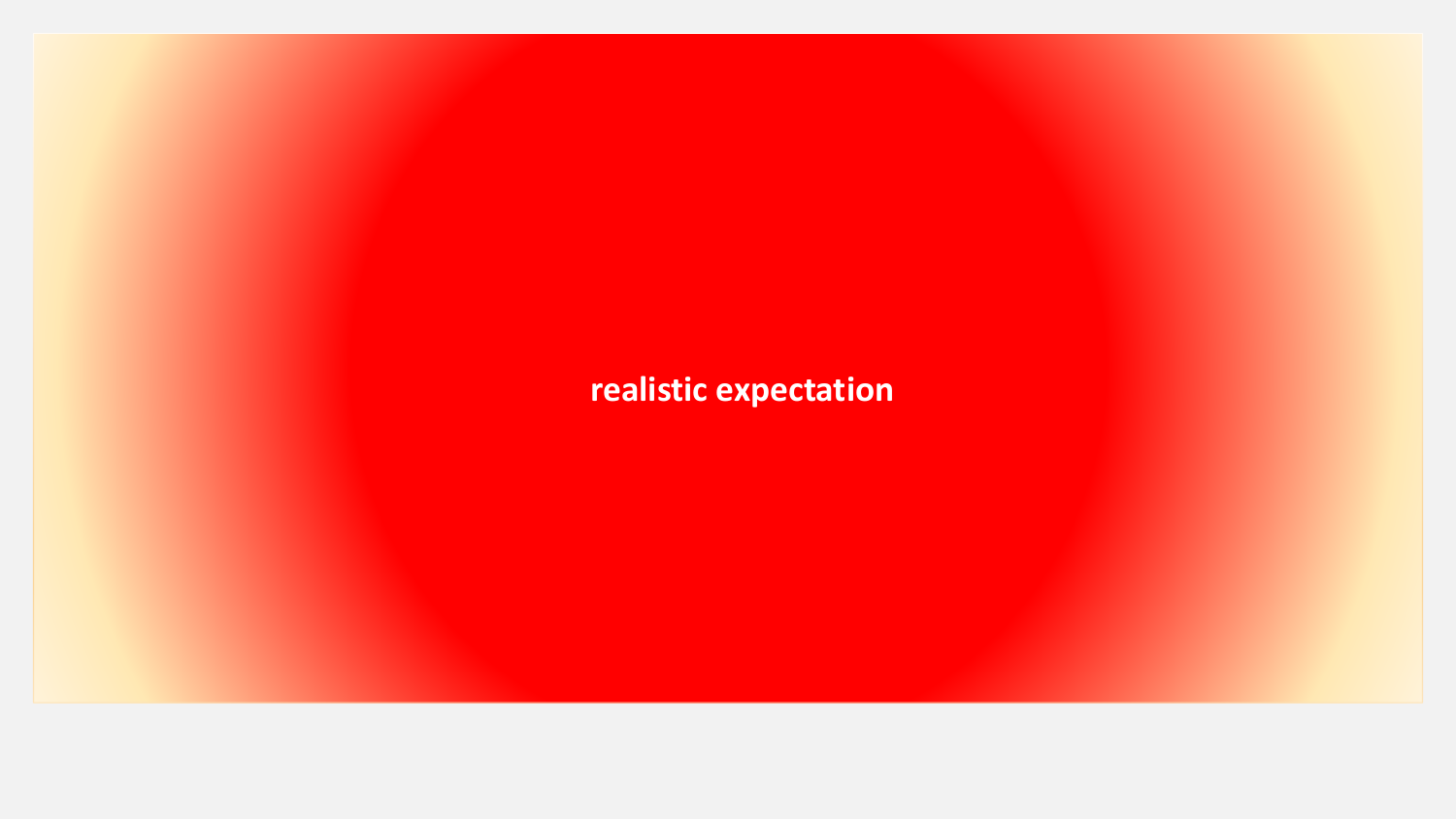**realistic expectation**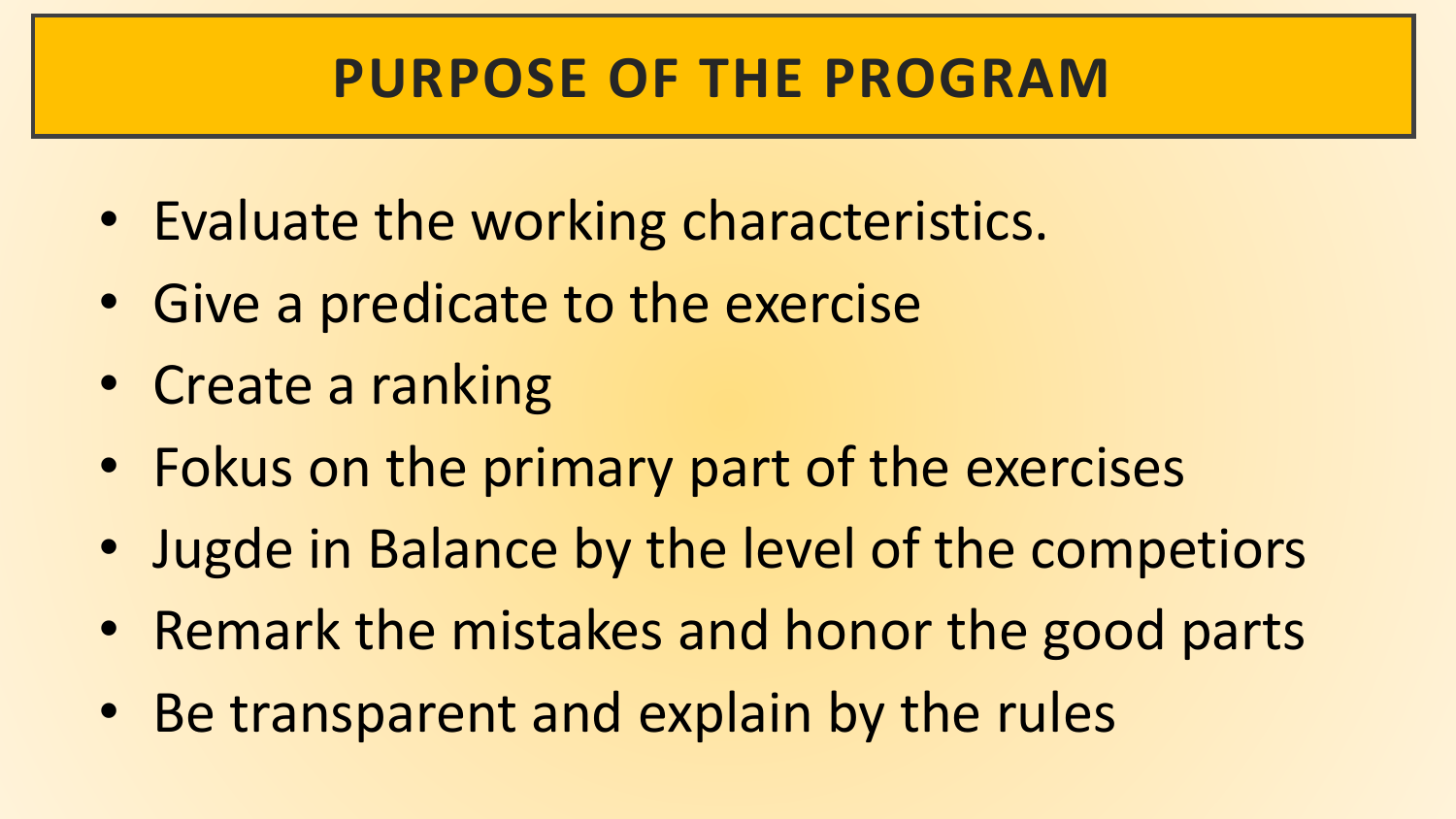#### **PURPOSE OF THE PROGRAM**

- Evaluate the working characteristics.
- Give a predicate to the exercise
- Create a ranking
- Fokus on the primary part of the exercises
- Jugde in Balance by the level of the competiors
- Remark the mistakes and honor the good parts
- Be transparent and explain by the rules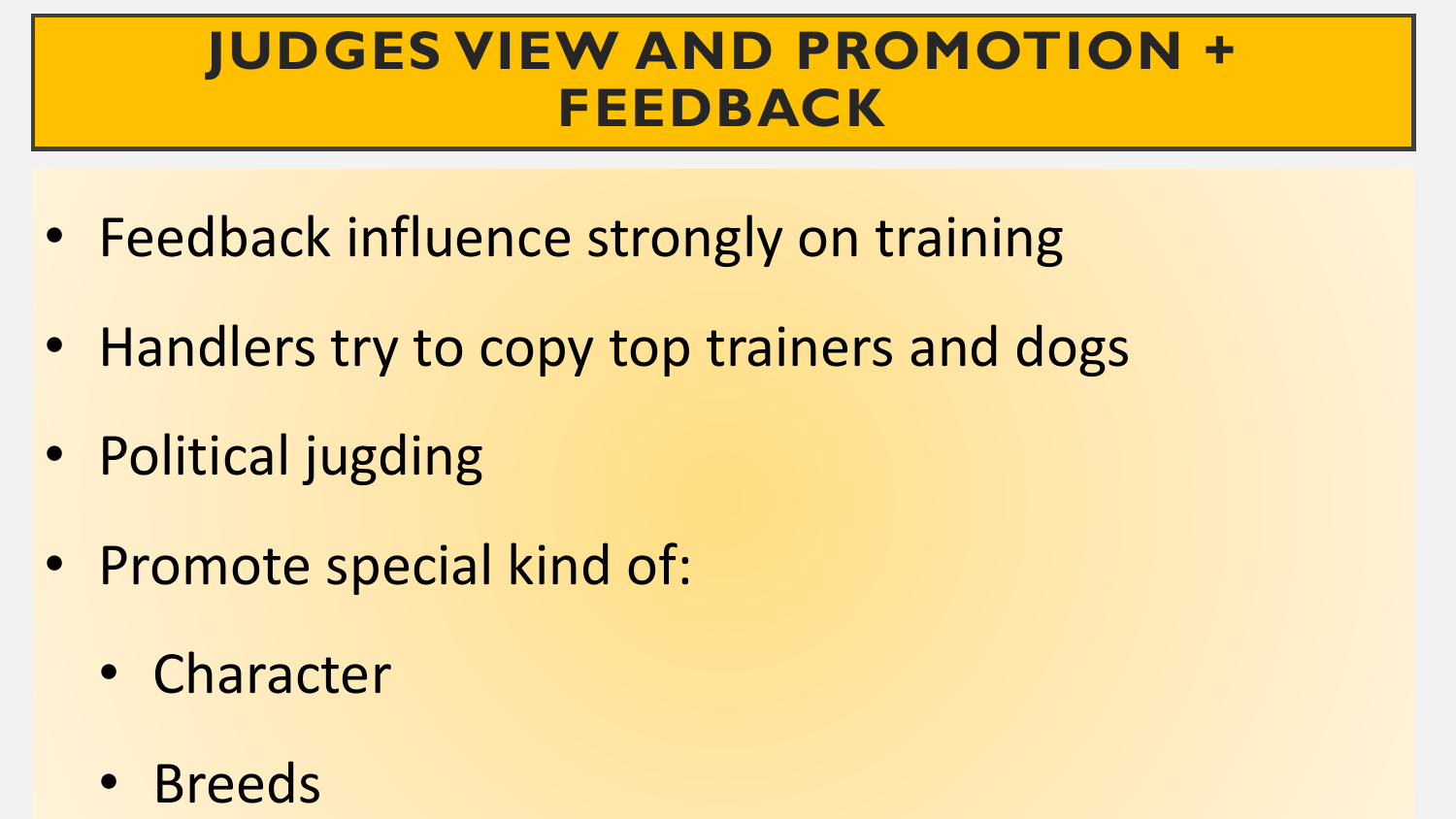#### **JUDGES VIEW AND PROMOTION + FEEDBACK**

- Feedback influence strongly on training
- Handlers try to copy top trainers and dogs
- Political jugding
- Promote special kind of:
	- Character
	- Breeds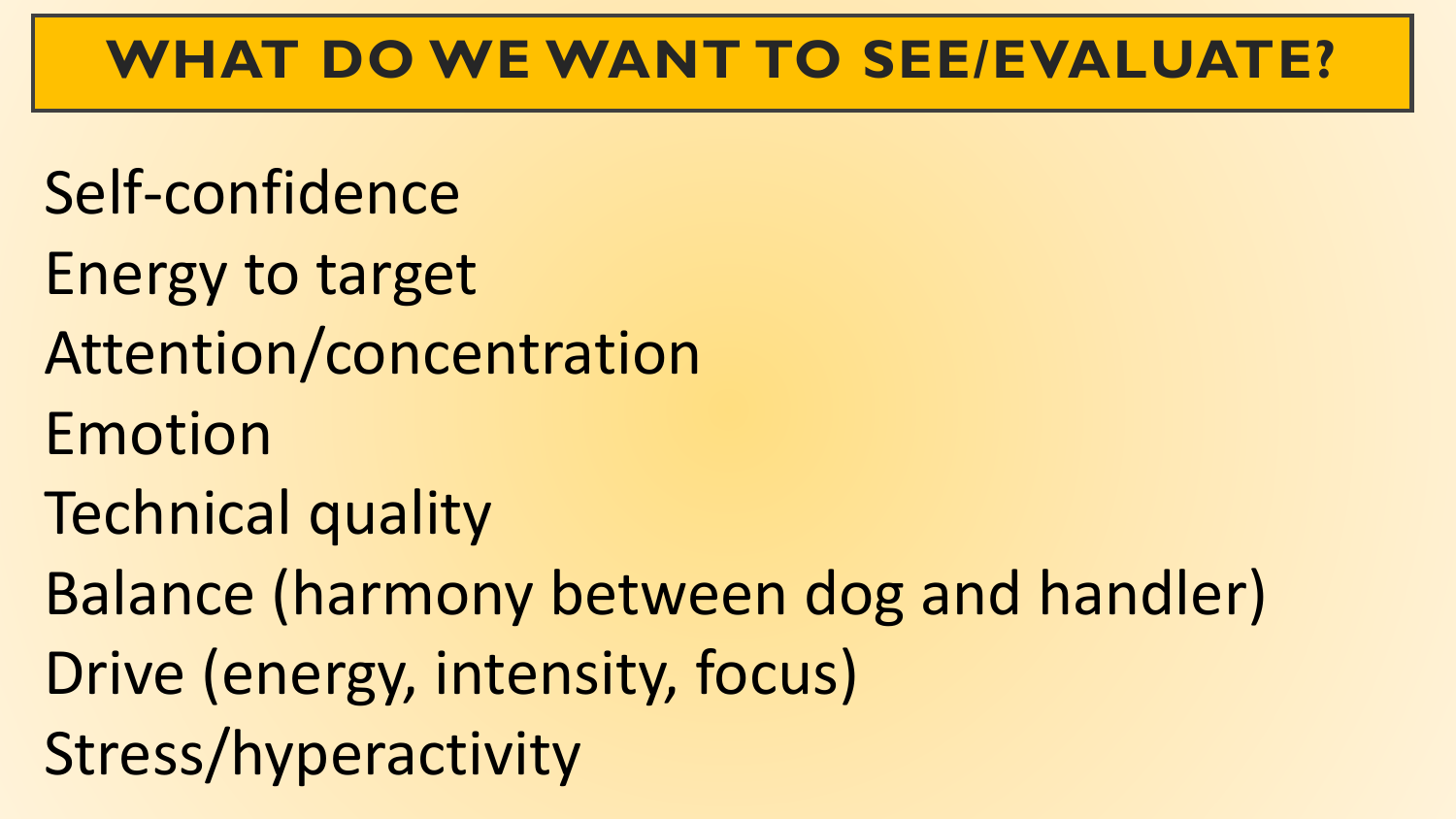#### **WHAT DO WE WANT TO SEE/EVALUATE?**

- Self-confidence
- Energy to target
- Attention/concentration
- Emotion
- Technical quality
- Balance (harmony between dog and handler)
- Drive (energy, intensity, focus)
- Stress/hyperactivity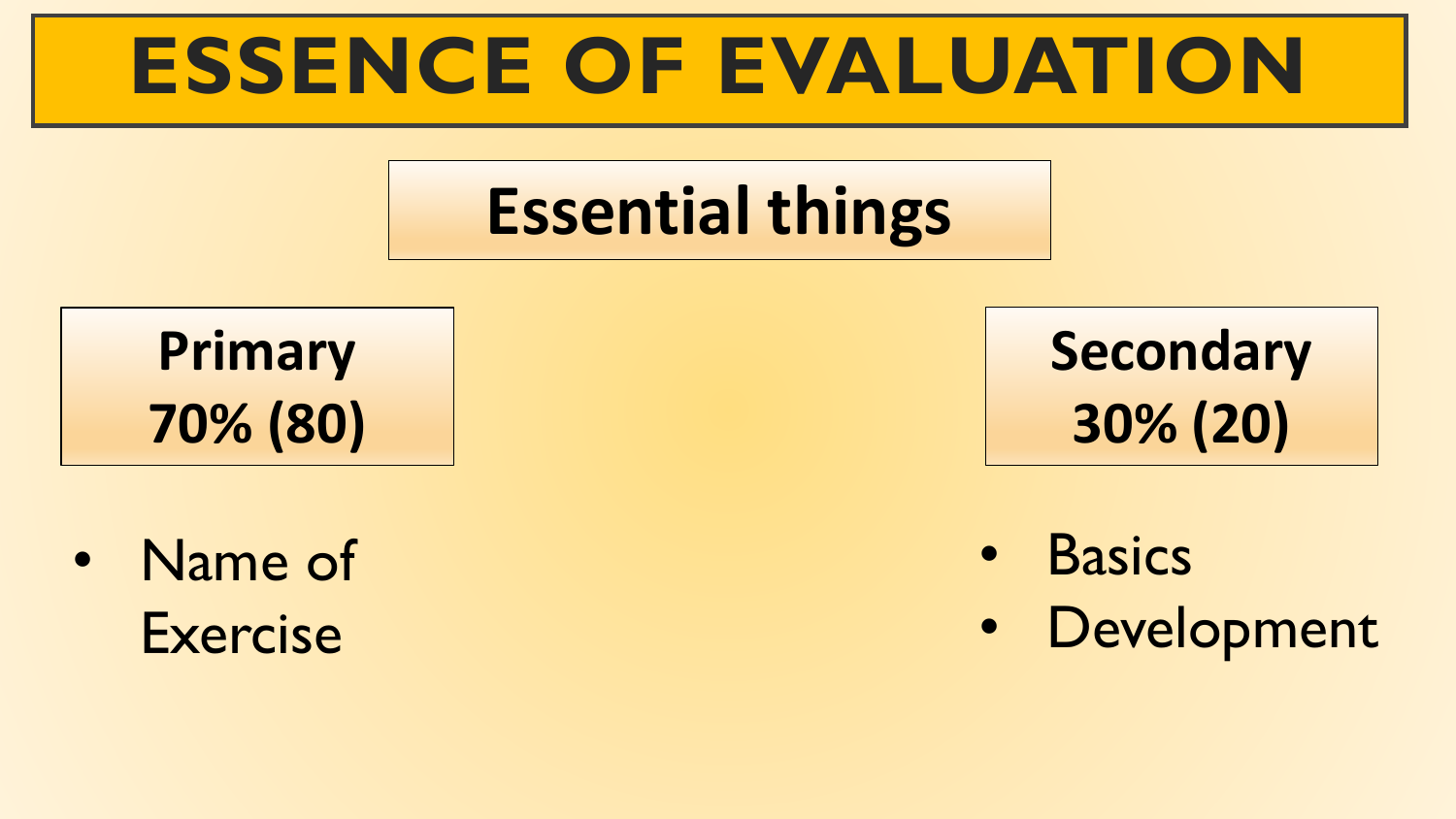## **ESSENCE OF EVALUATION**

## **Essential things**

**Primary 70% (80)**

• Name of Exercise

**Secondary 30% (20)**

- **Basics**
- Development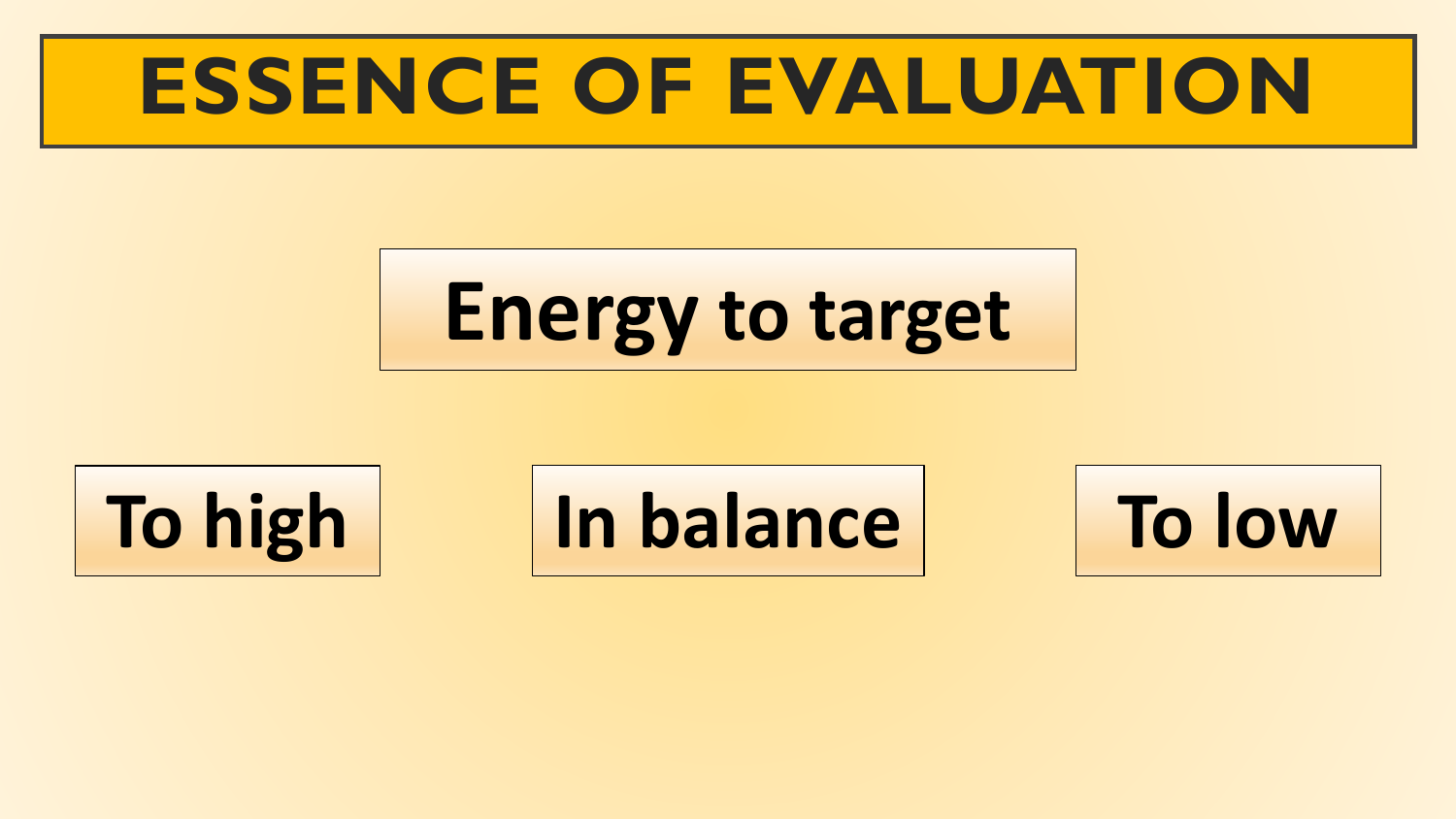## **ESSENCE OF EVALUATION**

# **Energy to target**



**To high In balance To low**

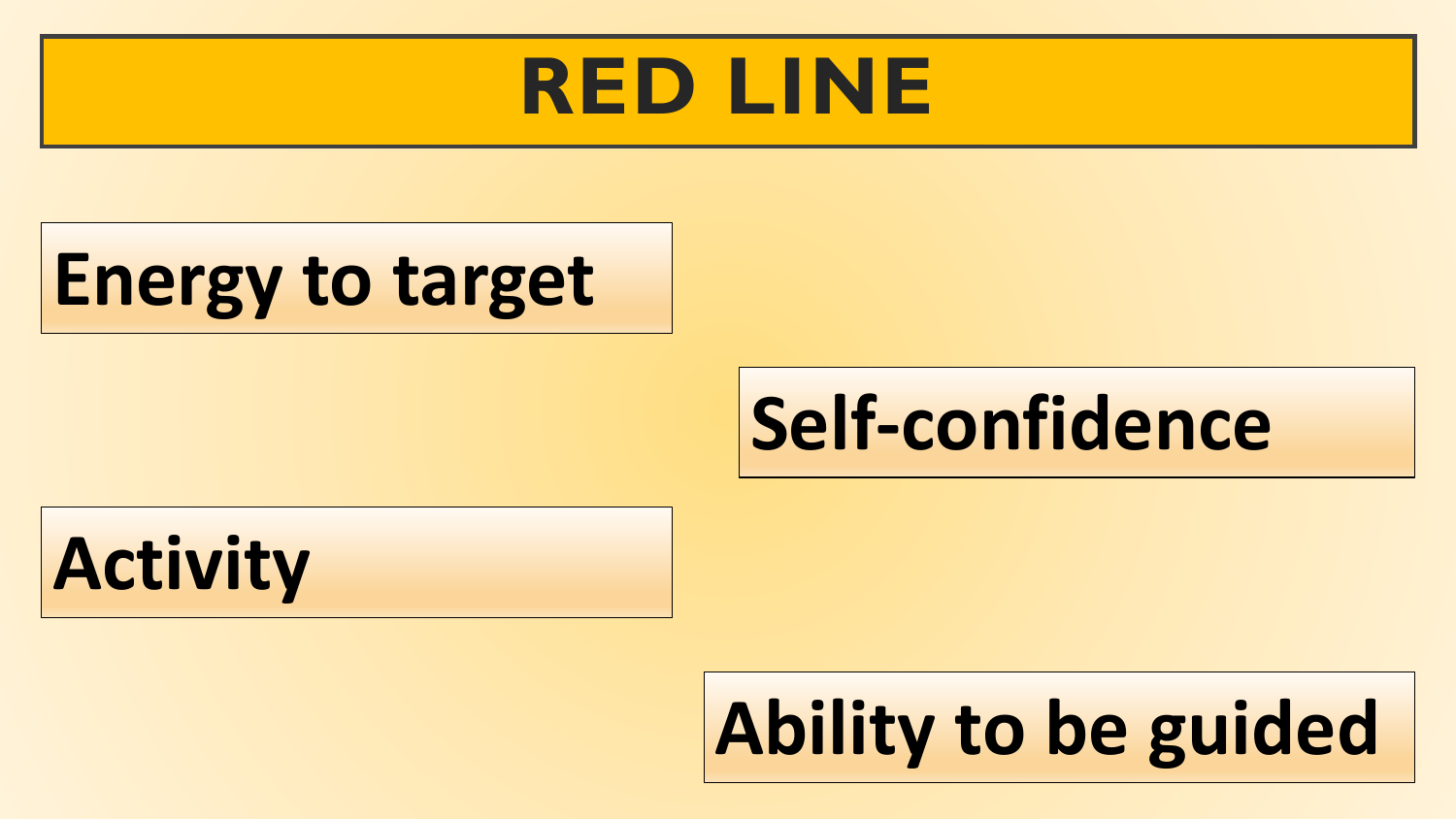## **RED LINE**

## **Energy to target**

## **Self-confidence**

## **Activity**

# **Ability to be guided**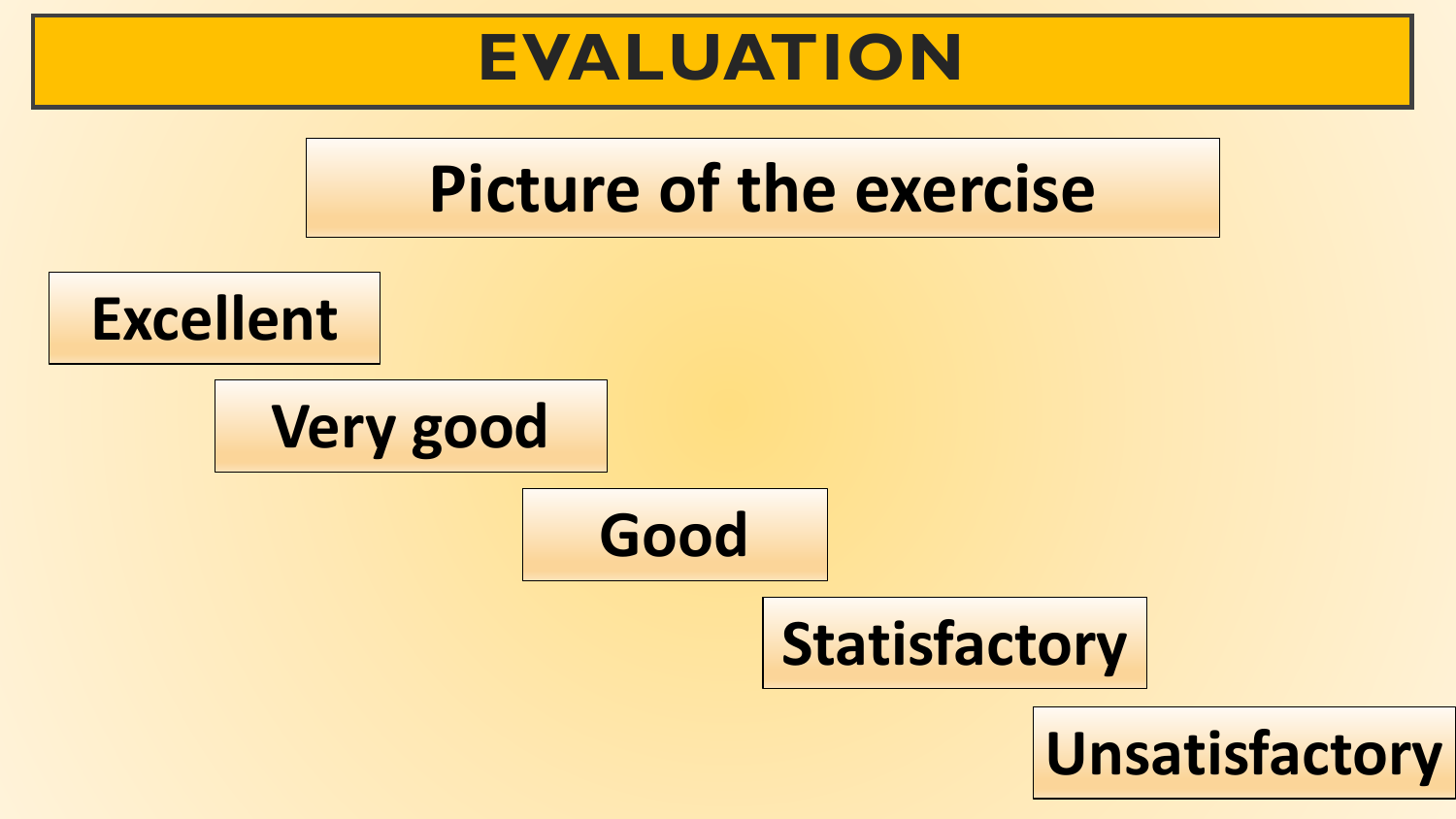### **EVALUATION**

## **Picture of the exercise**

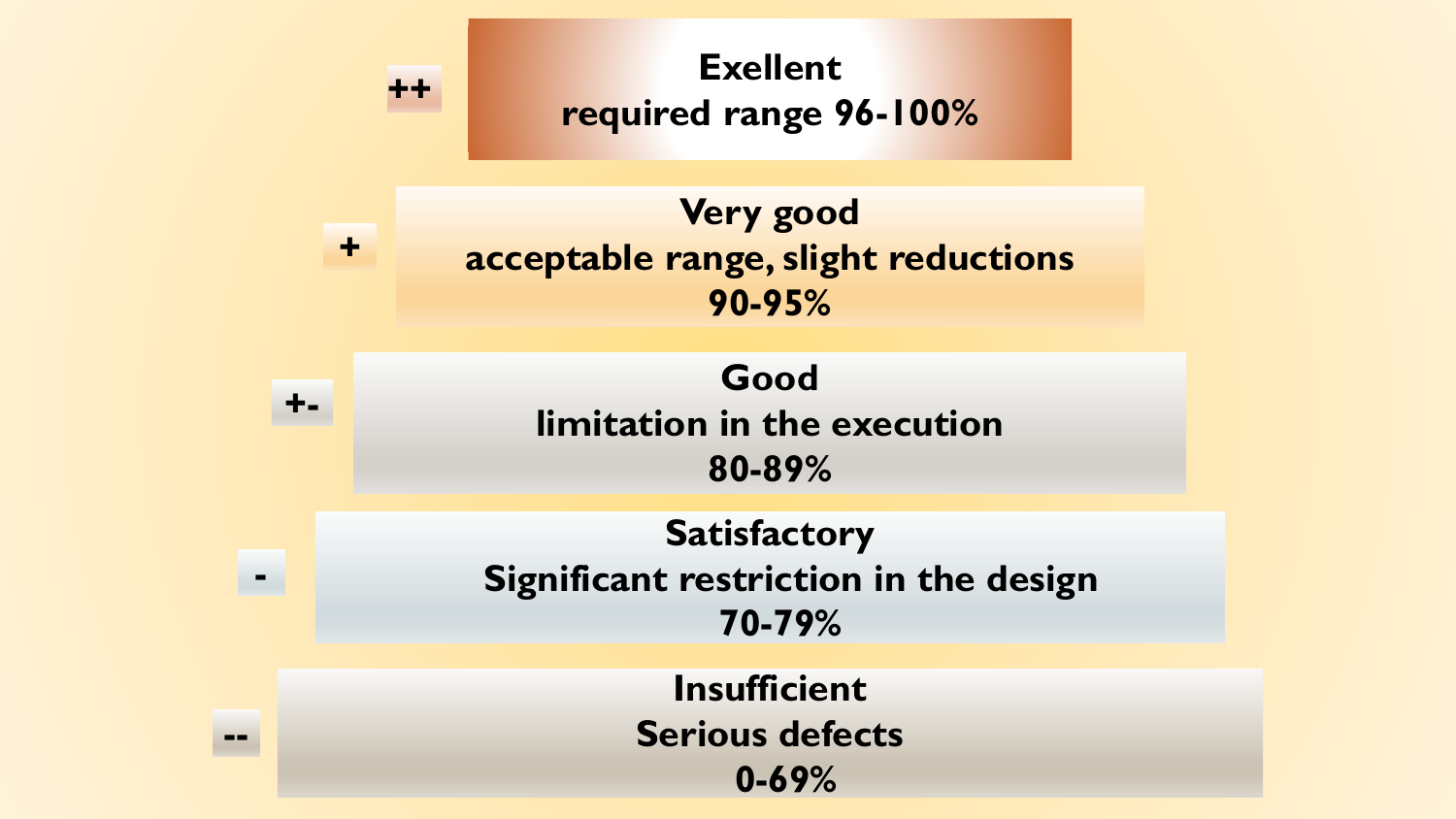**Satisfactory Significant restriction in the design 70-79% Good limitation in the execution 80-89% Very good acceptable range, slight reductions 90-95% Exellent required range 96-100% ++ +**

> **Insufficient Serious defects 0-69%**

**-**

**+-**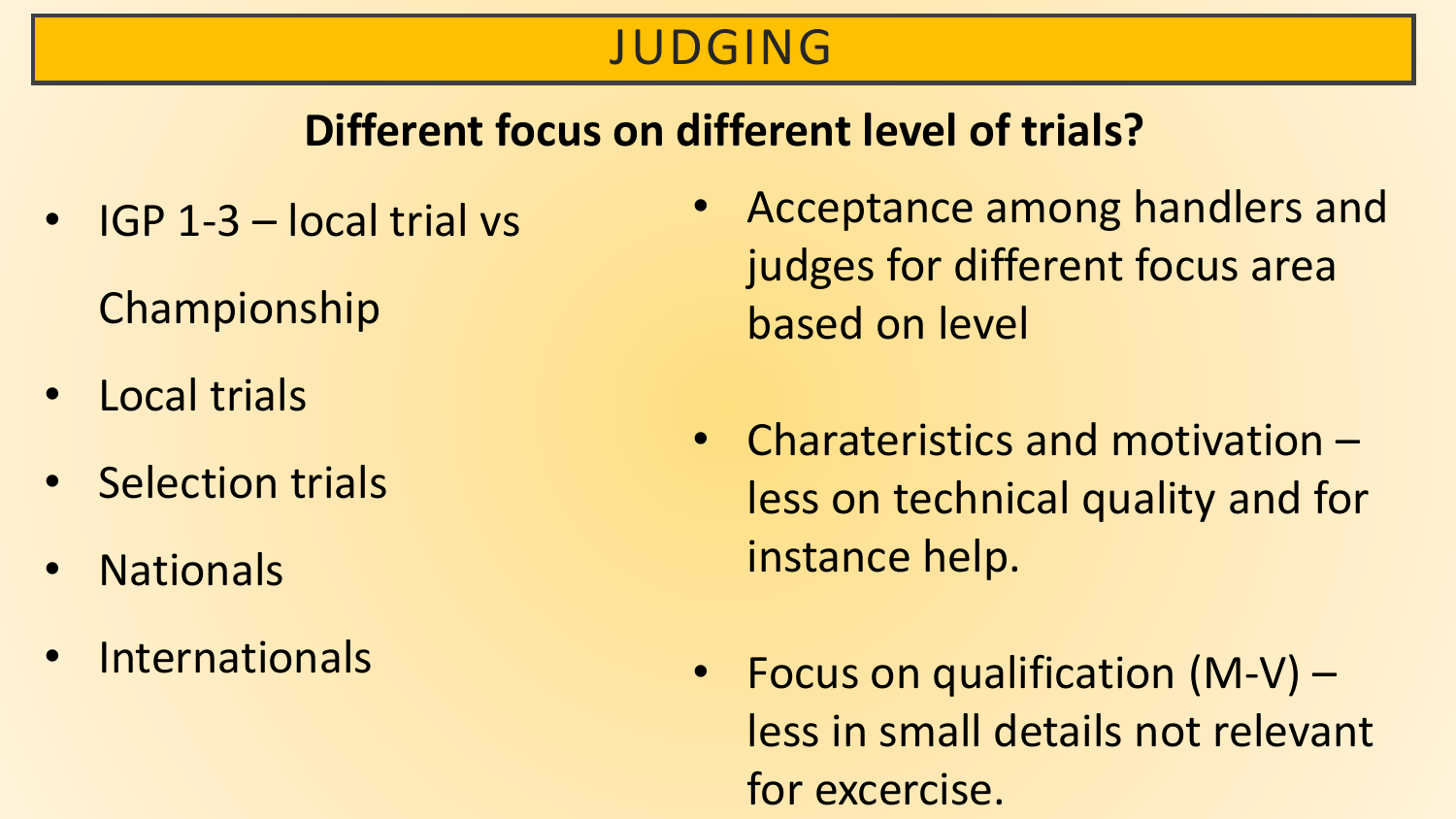#### JUDGING

#### **Different focus on different level of trials?**

• IGP 1-3 – local trial vs

Championship

- Local trials
- Selection trials
- **Nationals**
- Internationals
- Acceptance among handlers and judges for different focus area based on level
- Charateristics and motivation less on technical quality and for instance help.
- Focus on qualification (M-V) less in small details not relevant for excercise.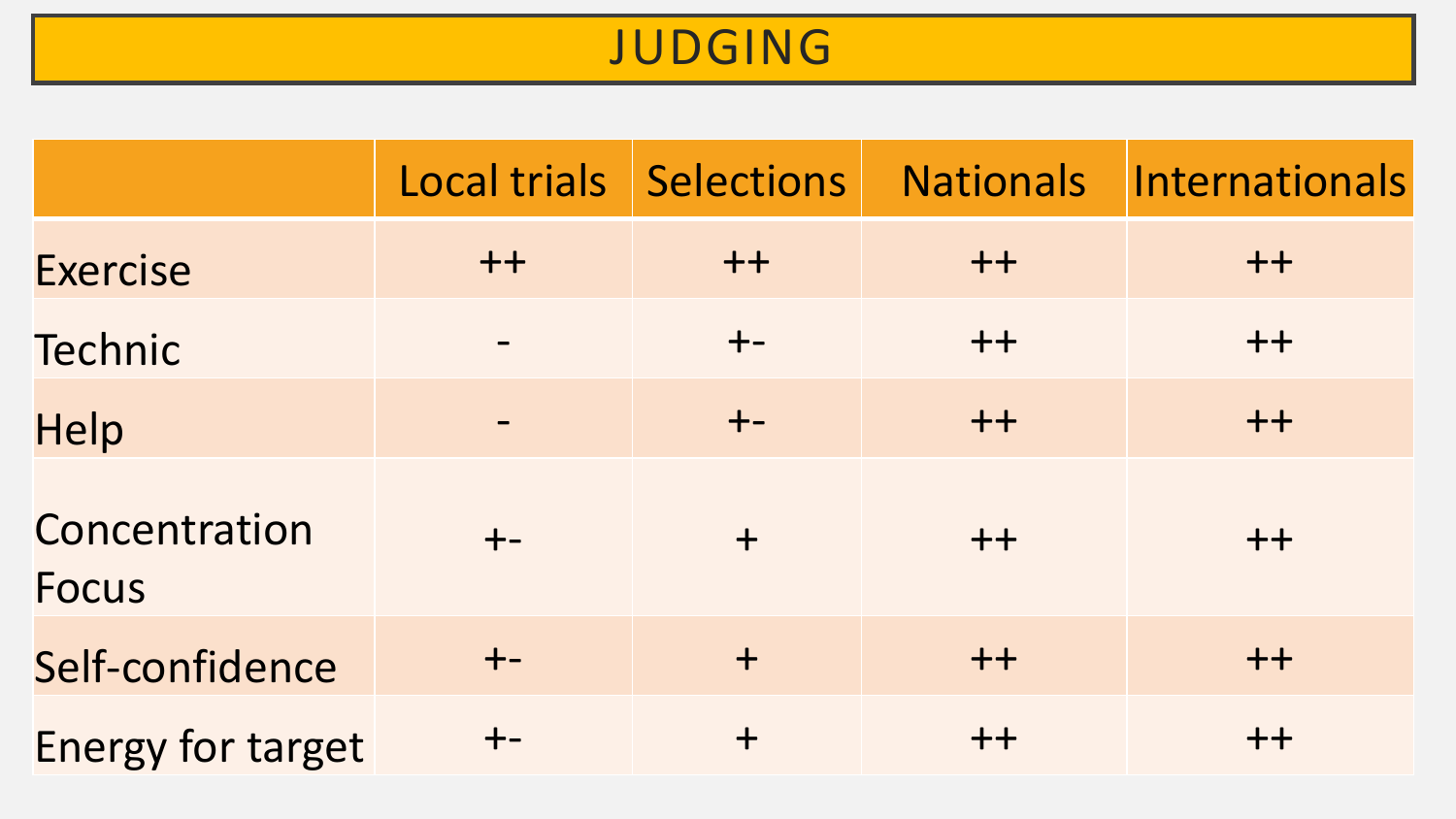#### JUDGING

|                               | Local trials | Selections | <b>Nationals</b> | Internationals |
|-------------------------------|--------------|------------|------------------|----------------|
| <b>Exercise</b>               | $++$         | $++$       | $++$             | $++$           |
| Technic                       |              | $+ -$      | $++$             | $++$           |
| Help                          |              | $+ -$      | $++$             | $++$           |
| Concentration<br><b>Focus</b> | $+ -$        | $+$        | $++$             | $++$           |
| Self-confidence               | $+ -$        | $+$        | $++$             | $++$           |
| <b>Energy for target</b>      |              | $+$        | $++$             | $++$           |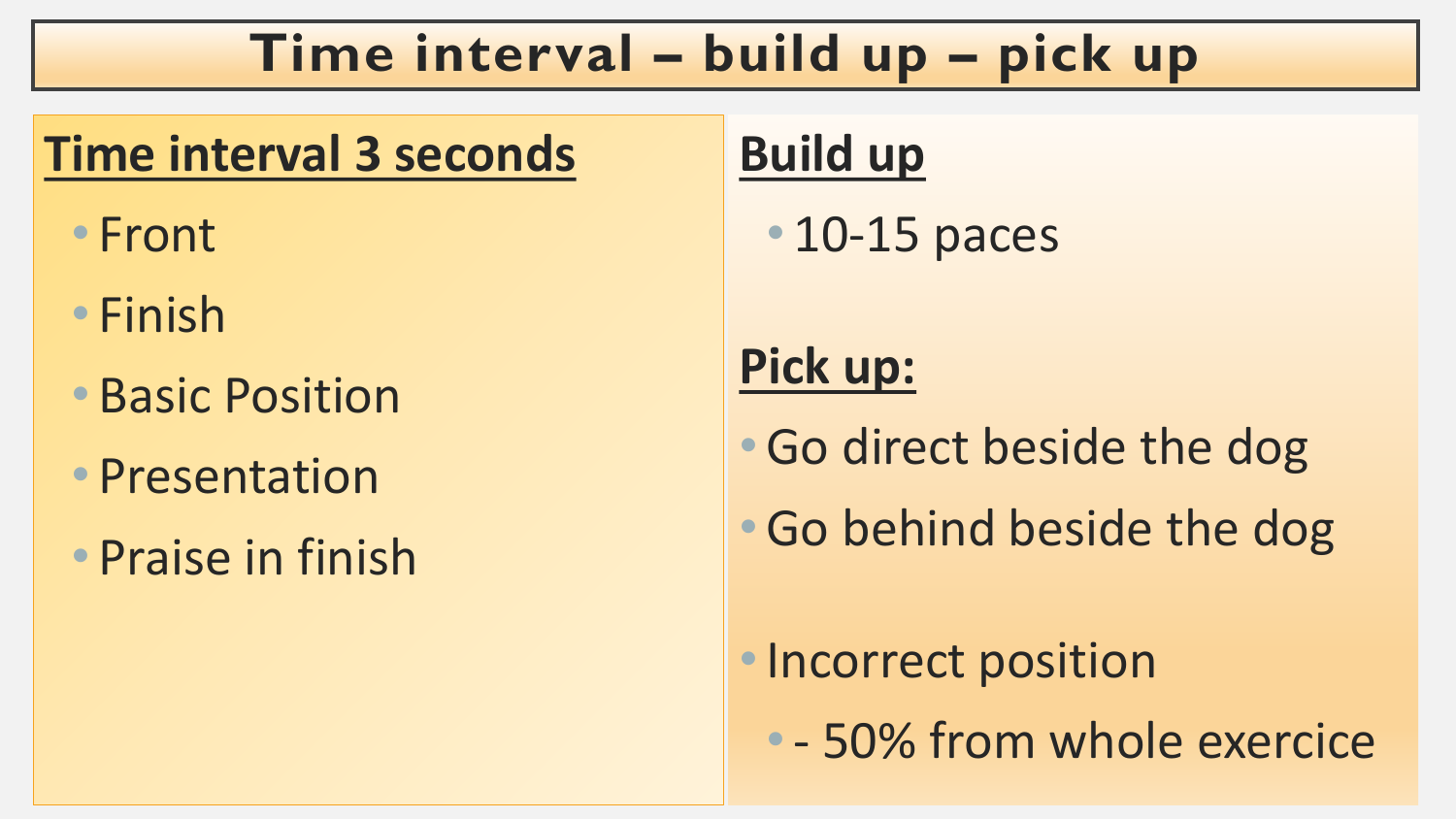#### **Time interval – build up – pick up**

#### **Time interval 3 seconds**

- Front
- Finish
- Basic Position
- Presentation
- Praise in finish

### **Build up**

• 10-15 paces

### **Pick up:**

- •Go direct beside the dog
- •Go behind beside the dog
- •Incorrect position
	- - 50% from whole exercice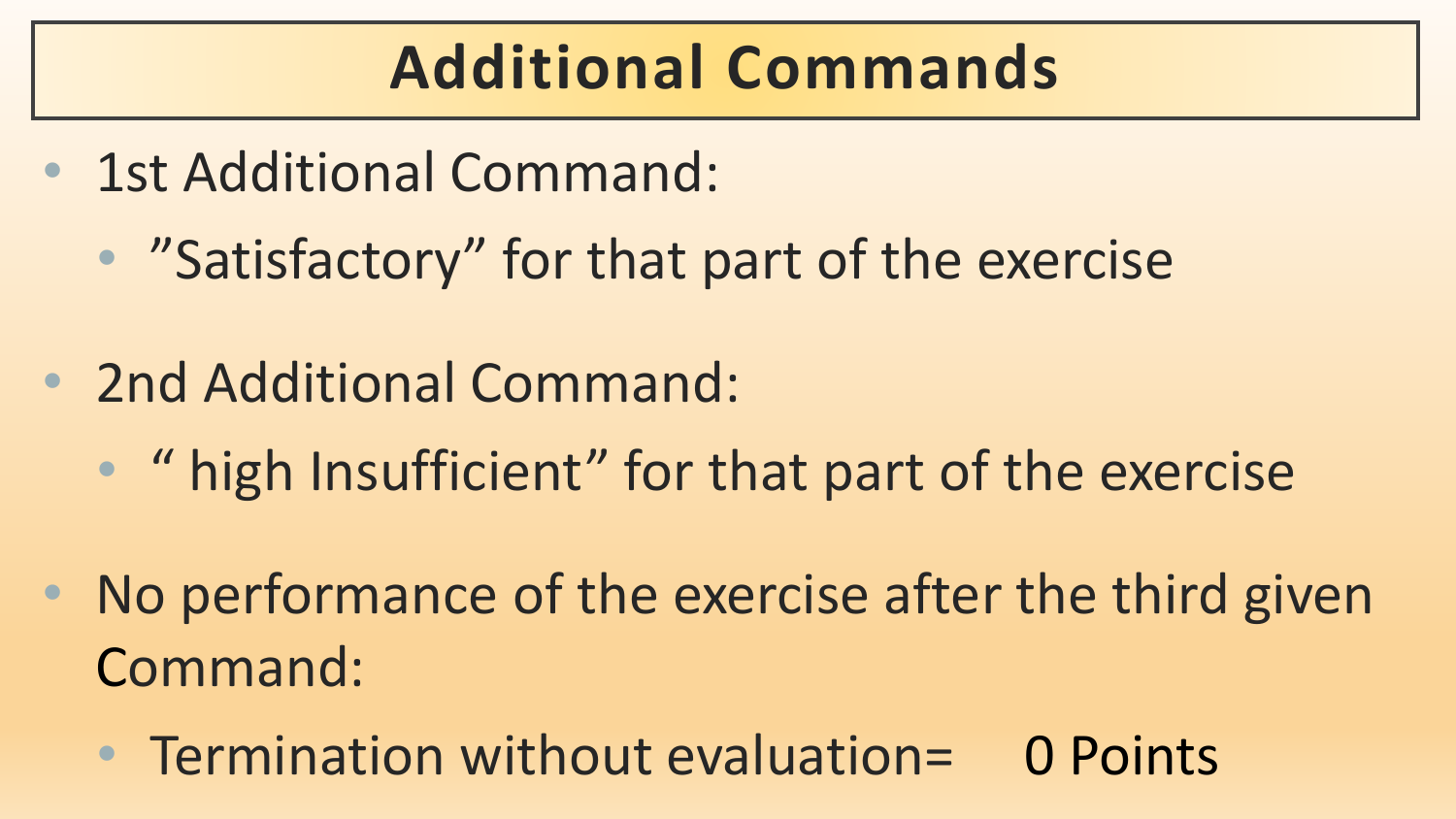## **Additional Commands**

- 1st Additional Command:
	- "Satisfactory" for that part of the exercise
- 2nd Additional Command:
	- " high Insufficient" for that part of the exercise
- No performance of the exercise after the third given Command:
	- Termination without evaluation= 0 Points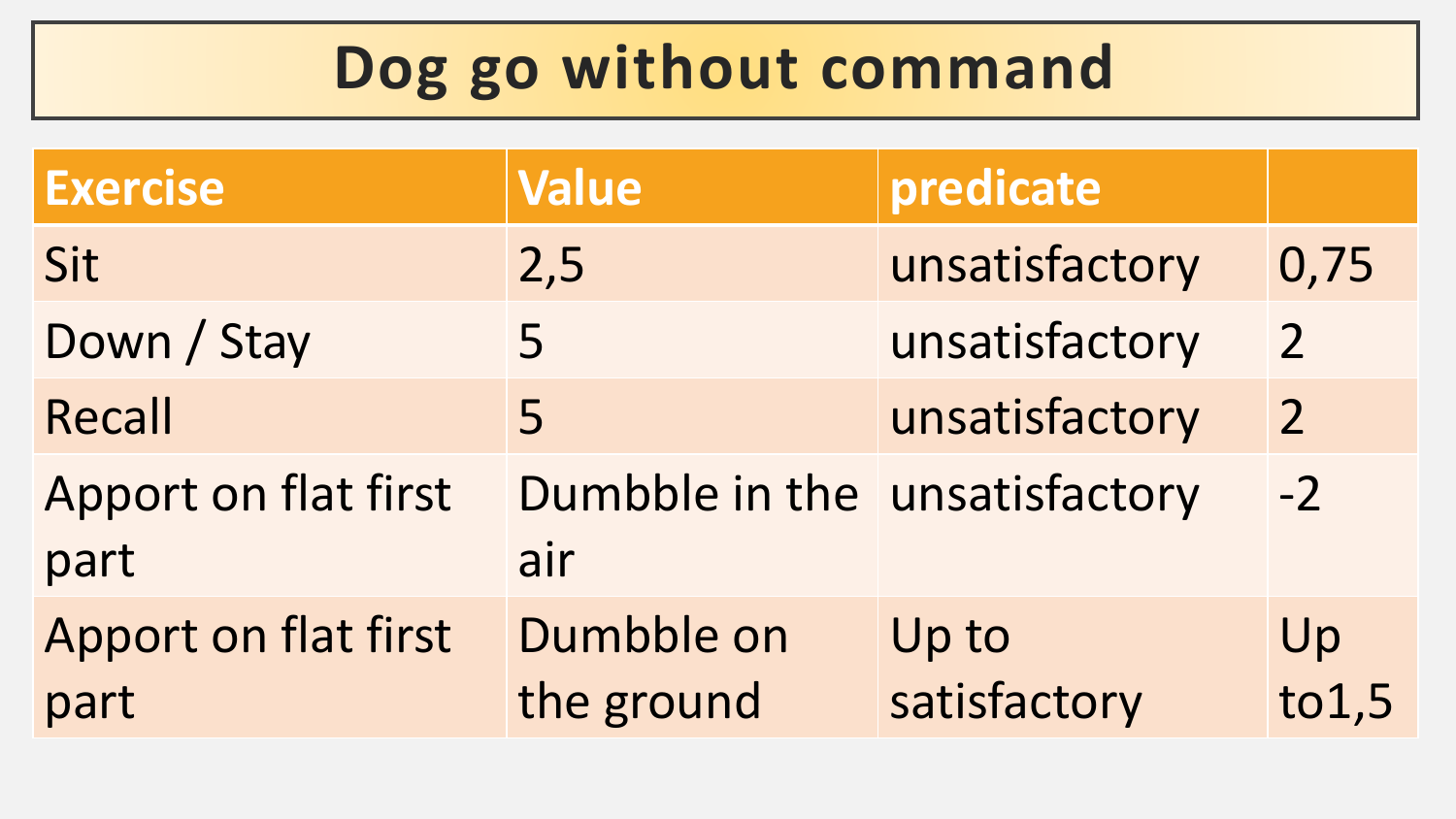## **Dog go without command**

| <b>Exercise</b>              | <b>Value</b>                         | predicate             |                |
|------------------------------|--------------------------------------|-----------------------|----------------|
| Sit                          | 2,5                                  | unsatisfactory        | 0,75           |
| Down / Stay                  | 5                                    | unsatisfactory        | $\overline{2}$ |
| Recall                       | 5                                    | unsatisfactory        | $\overline{2}$ |
| Apport on flat first<br>part | Dumbble in the unsatisfactory<br>air |                       | $-2$           |
| Apport on flat first<br>part | Dumbble on<br>the ground             | Up to<br>satisfactory | Up<br>to 1, 5  |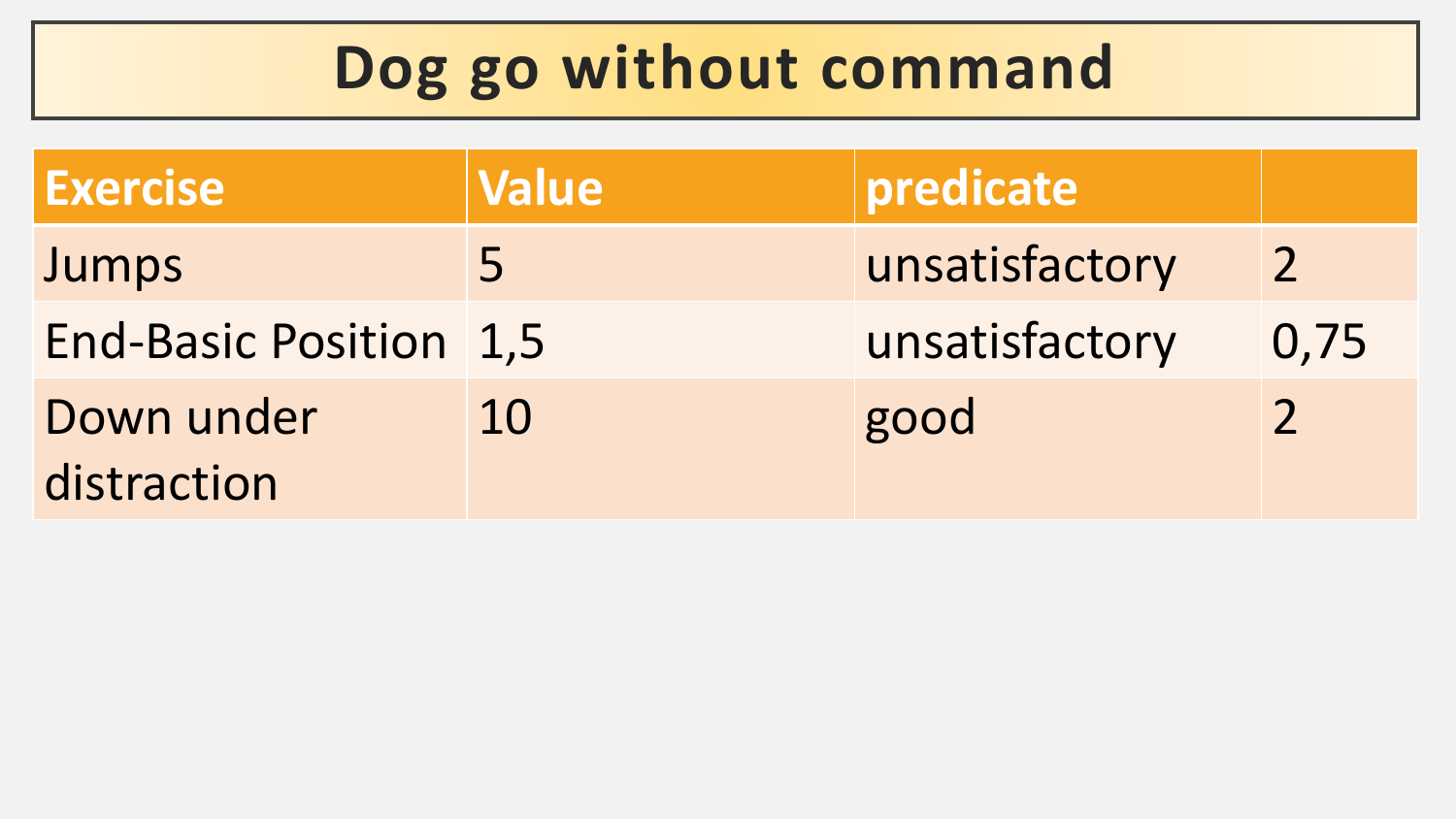## **Dog go without command**

| <b>Exercise</b>               | <b>Value</b> | $ $ predicate  |                |
|-------------------------------|--------------|----------------|----------------|
| Jumps                         | 5            | unsatisfactory | $\overline{2}$ |
| <b>End-Basic Position 1,5</b> |              | unsatisfactory | 0,75           |
| Down under<br>distraction     | 10           | good           | $\mathcal{P}$  |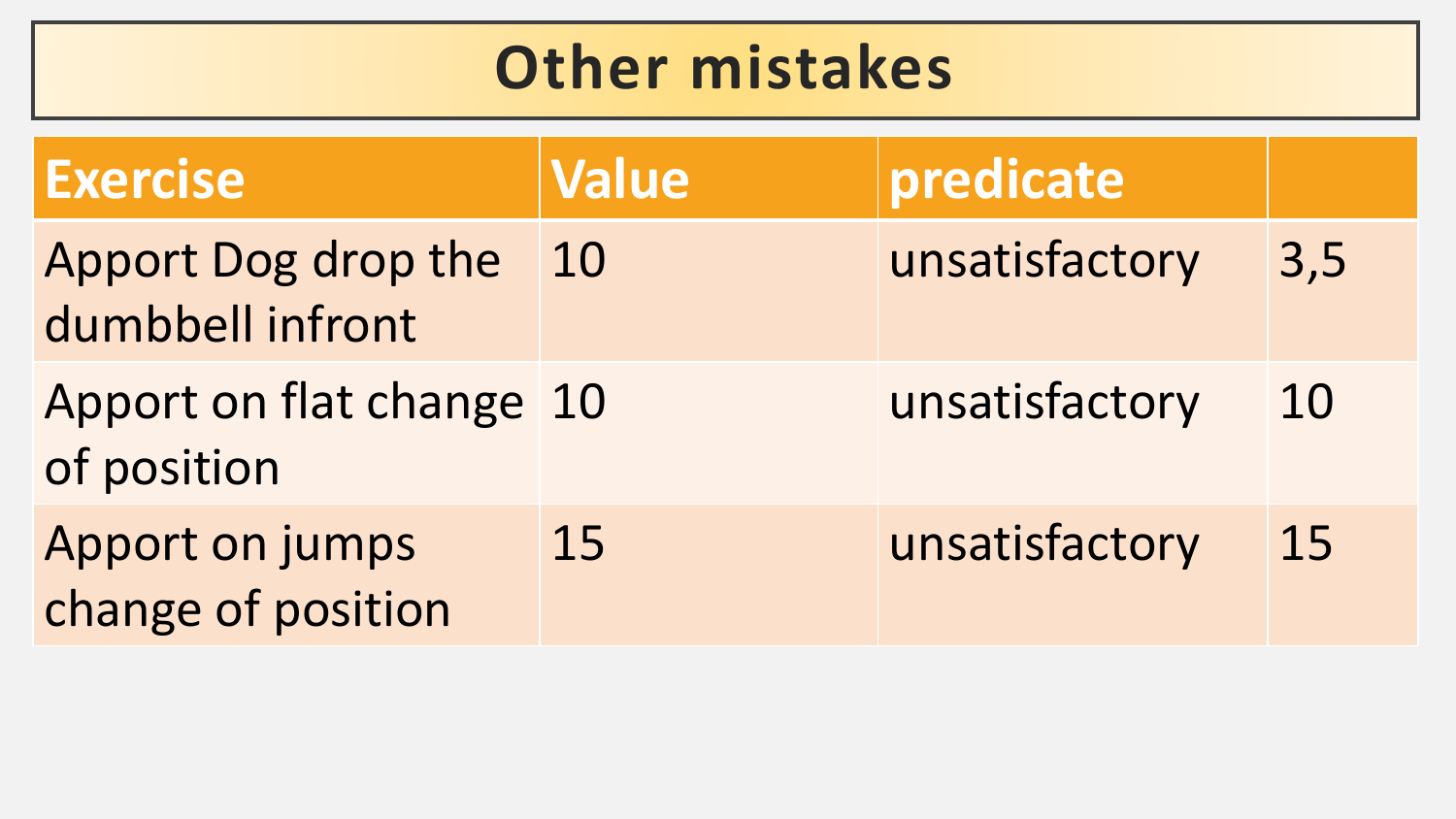## **Other mistakes**

| <b>Exercise</b>                         | <b>Value</b> | predicate      |     |
|-----------------------------------------|--------------|----------------|-----|
| Apport Dog drop the<br>dumbbell infront | 10           | unsatisfactory | 3,5 |
| Apport on flat change 10<br>of position |              | unsatisfactory | 10  |
| Apport on jumps<br>change of position   | 15           | unsatisfactory | 15  |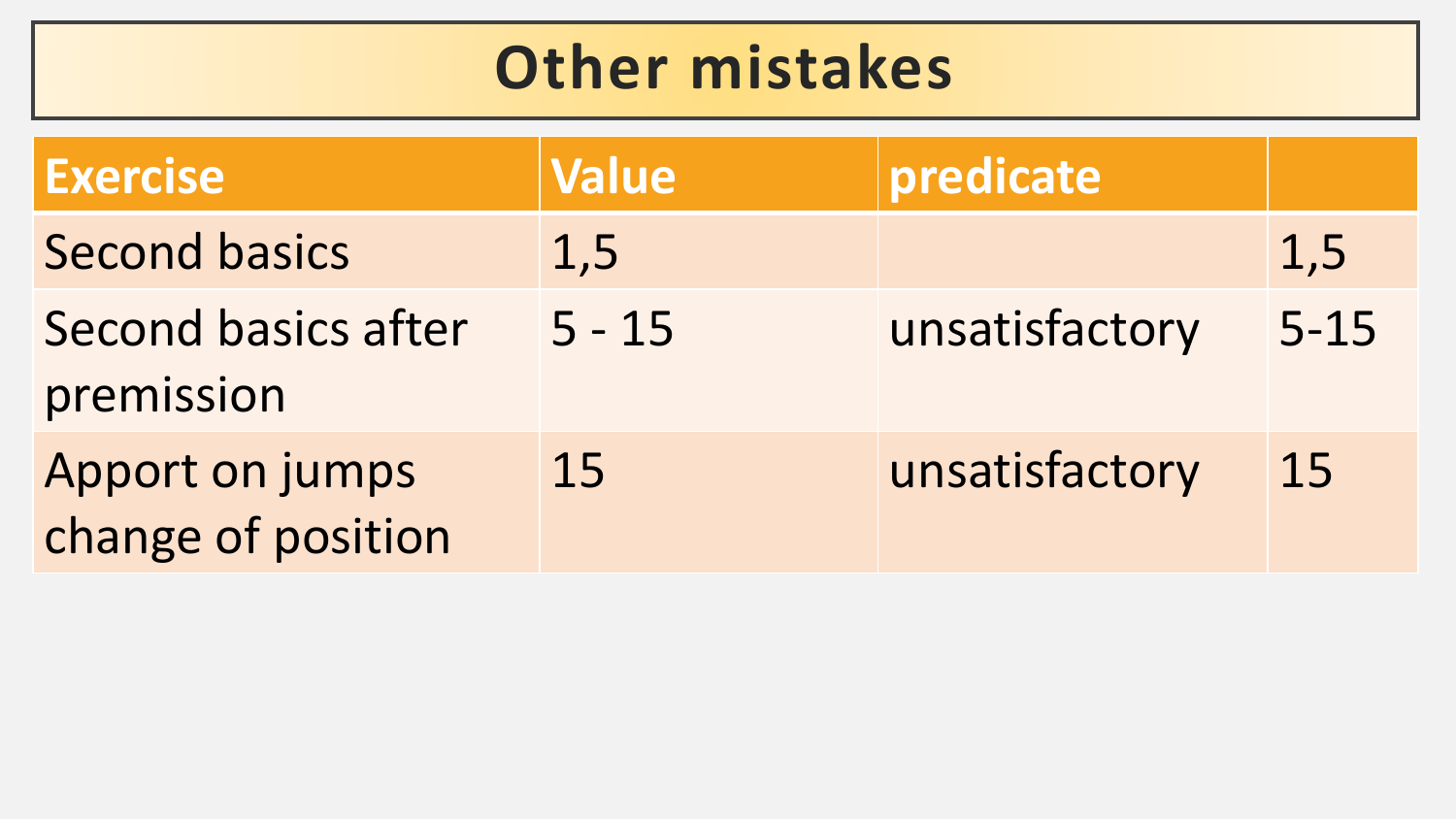## **Other mistakes**

| <b>Exercise</b>                       | <b>Value</b> | predicate      |          |
|---------------------------------------|--------------|----------------|----------|
| <b>Second basics</b>                  | 1,5          |                | 1,5      |
| Second basics after<br>premission     | $5 - 15$     | unsatisfactory | $5 - 15$ |
| Apport on jumps<br>change of position | 15           | unsatisfactory | 15       |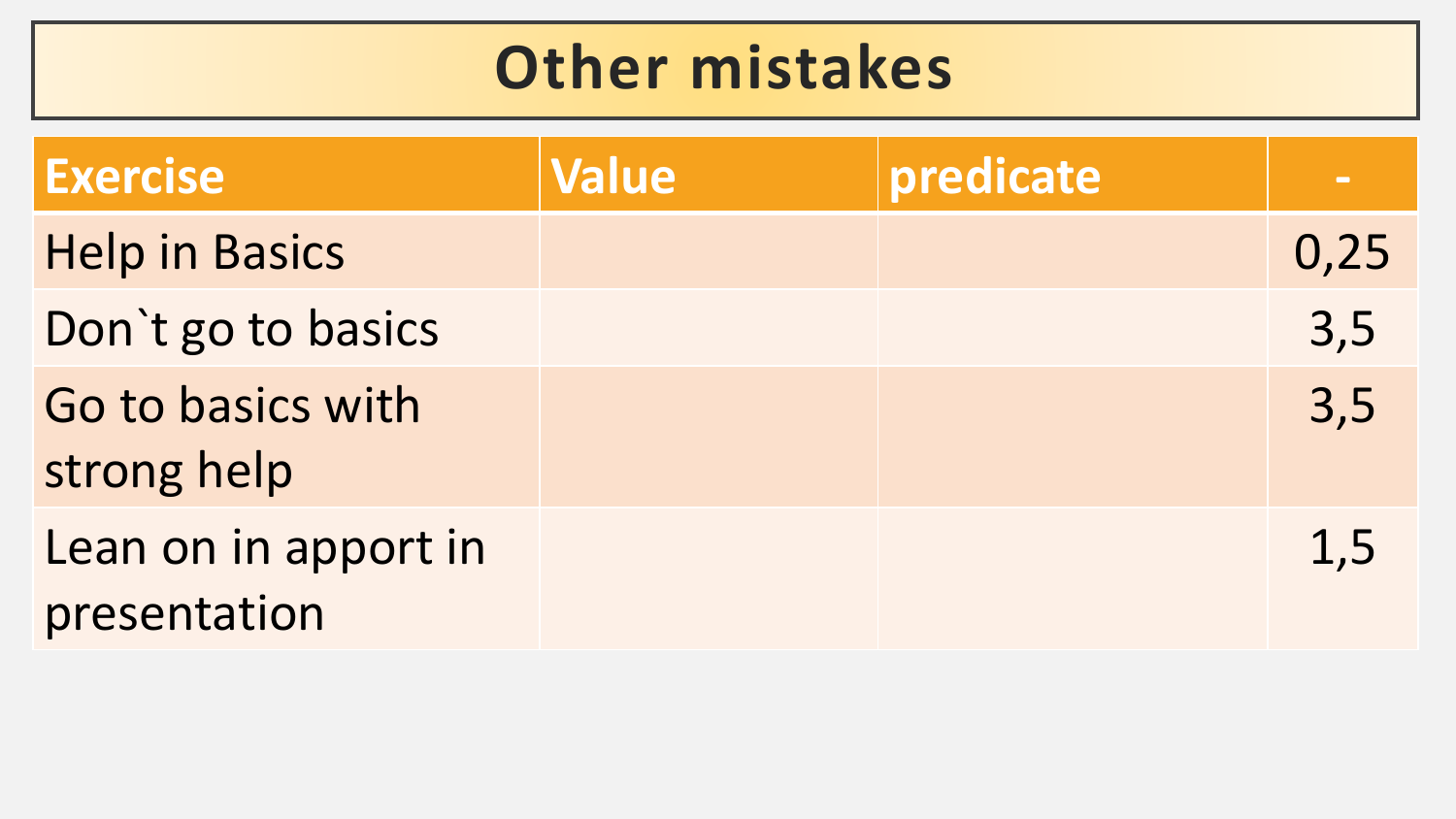### **Other mistakes**

| <b>Exercise</b>                      | <b>Value</b> | predicate | $\sim$ |
|--------------------------------------|--------------|-----------|--------|
| <b>Help in Basics</b>                |              |           | 0,25   |
| Don't go to basics                   |              |           | 3,5    |
| Go to basics with<br>strong help     |              |           | 3,5    |
| Lean on in apport in<br>presentation |              |           | 1,5    |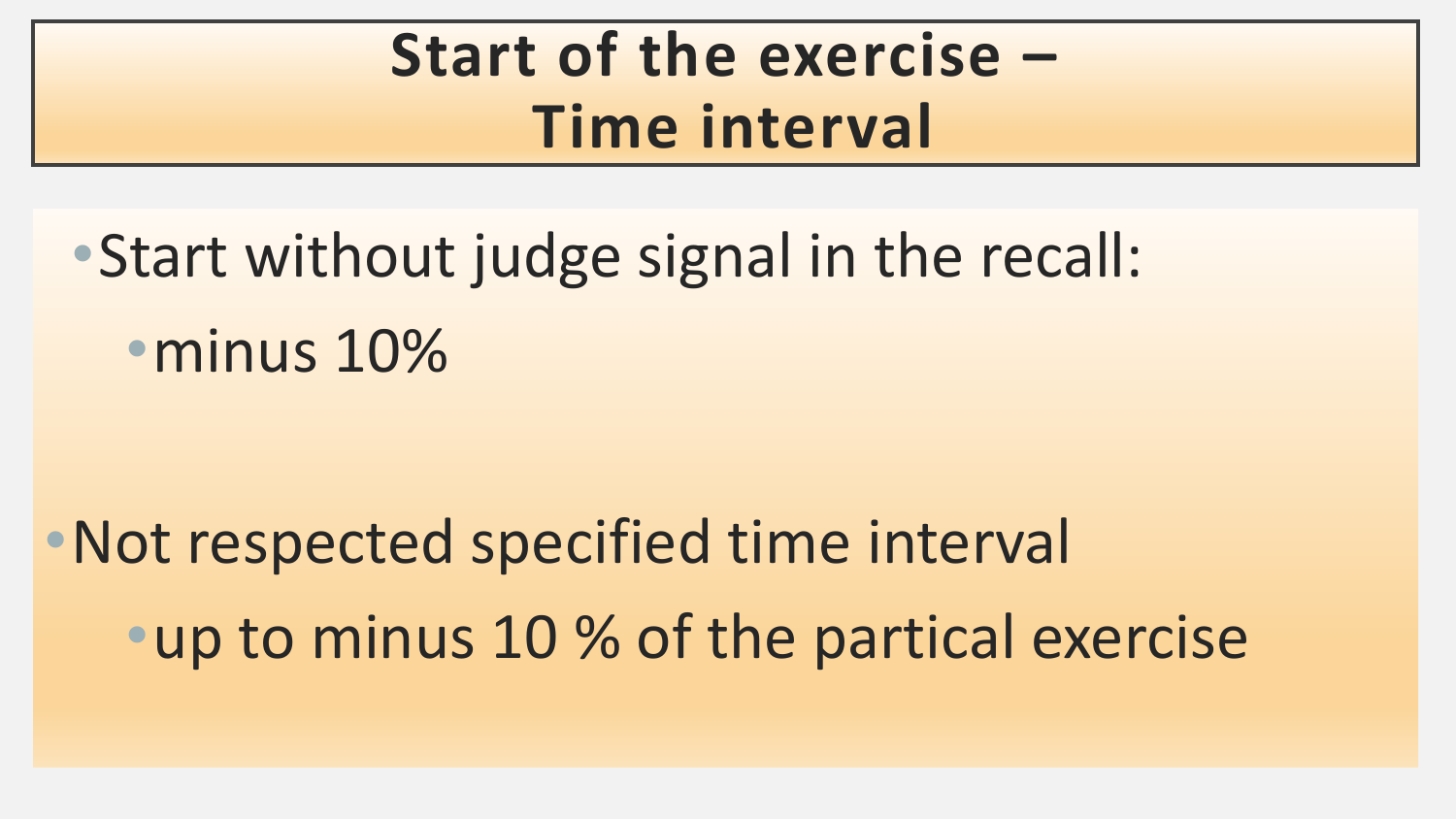## **Start of the exercise – Time interval**

•Start without judge signal in the recall: •minus 10%

•Not respected specified time interval •up to minus 10 % of the partical exercise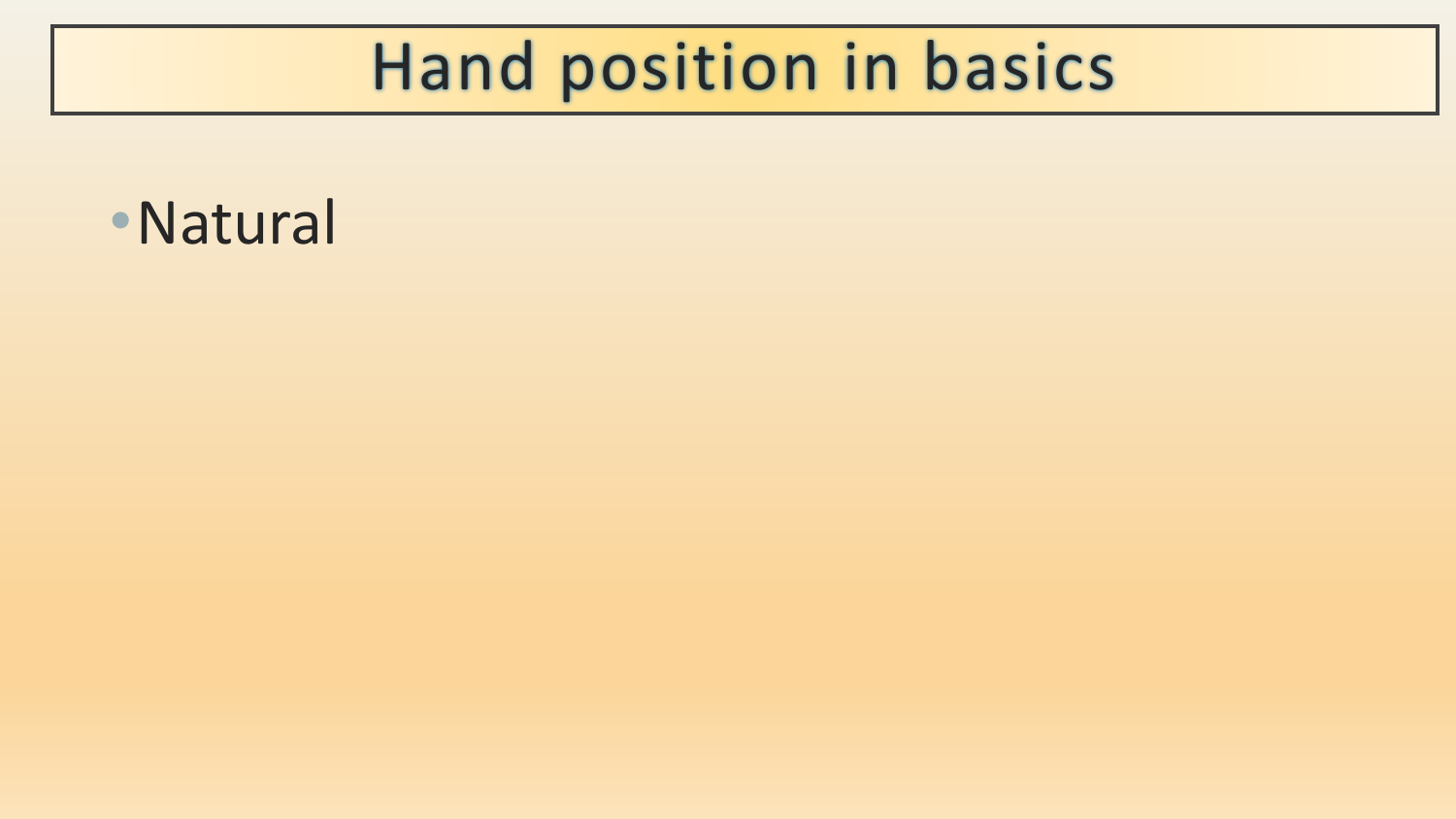## Hand position in basics

•Natural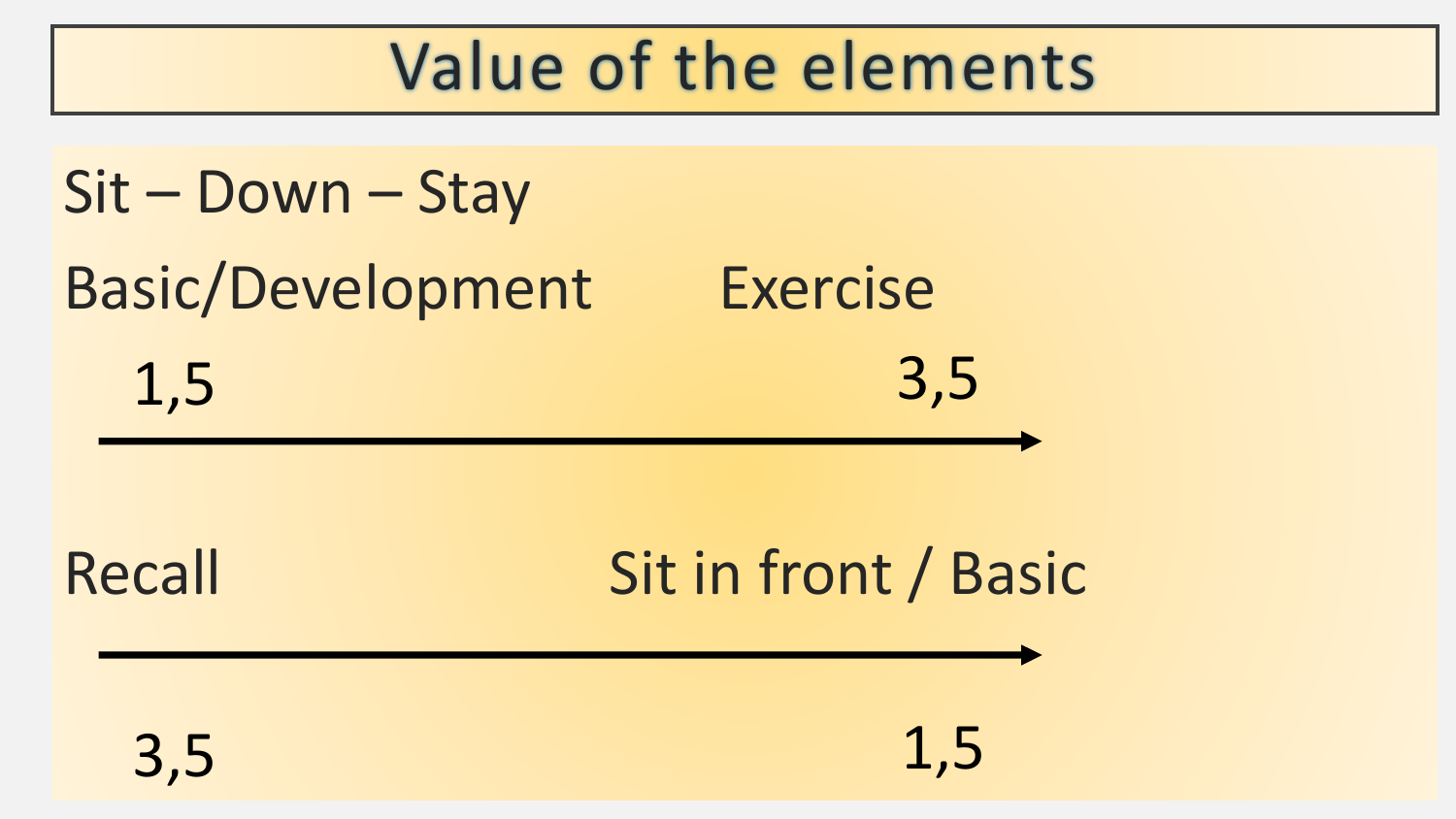## Value of the elements

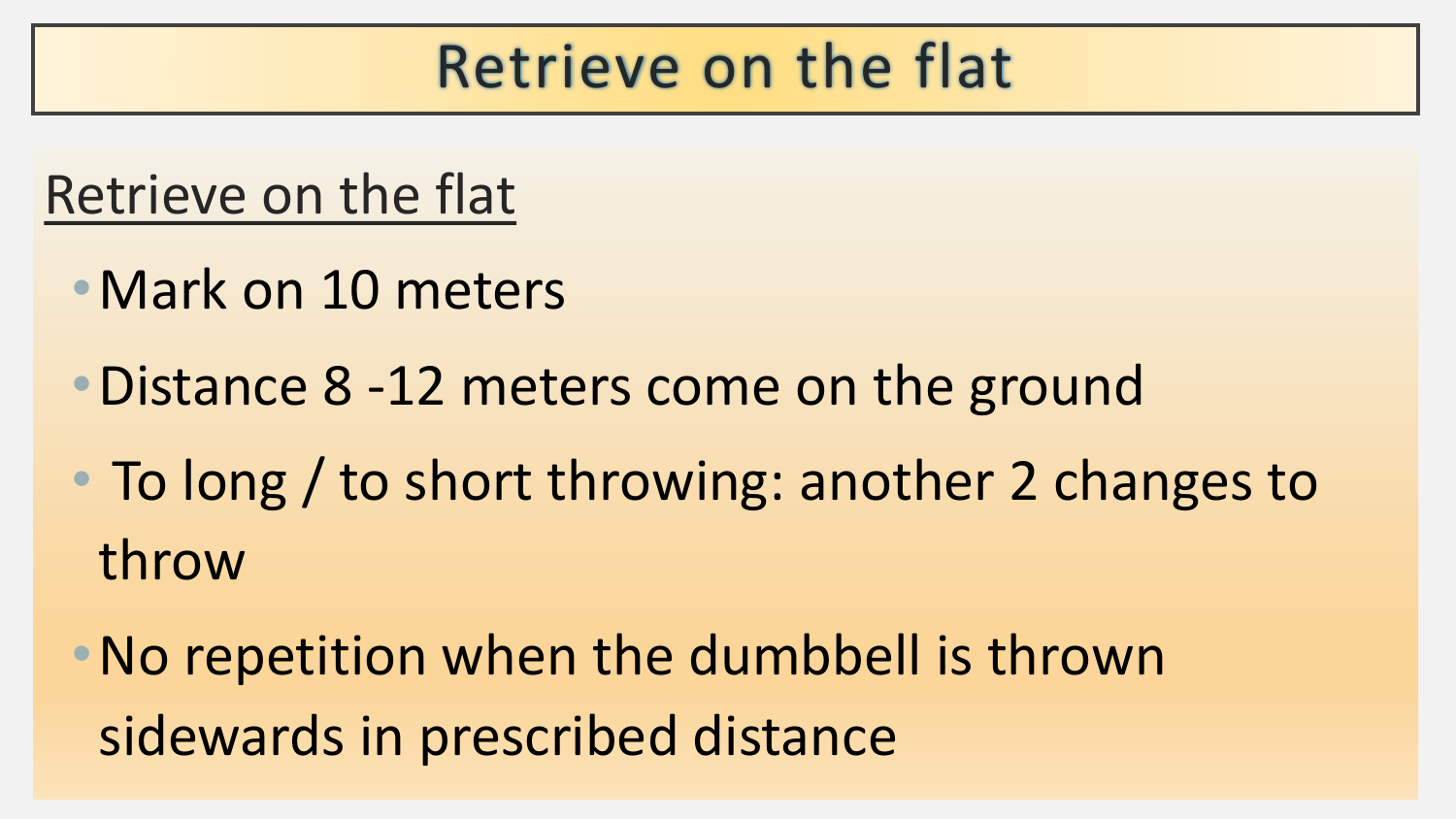### Retrieve on the flat

#### Retrieve on the flat

- •Mark on 10 meters
- Distance 8 -12 meters come on the ground
- To long / to short throwing: another 2 changes to throw
- •No repetition when the dumbbell is thrown sidewards in prescribed distance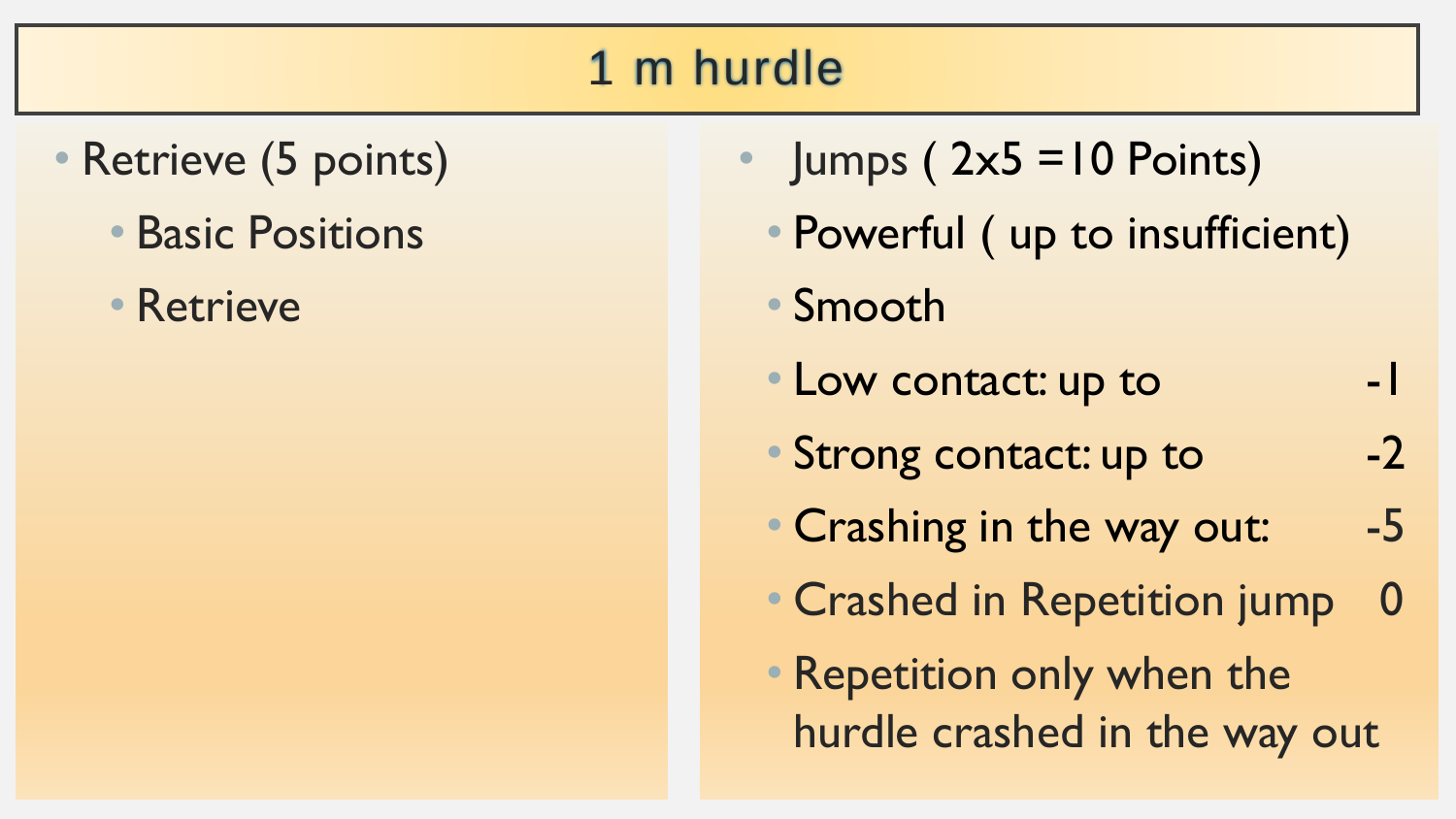#### 1 m hurdle

- Retrieve (5 points)
	- Basic Positions
	- Retrieve
- $Jumps (2x5 = 10 Points)$
- Powerful ( up to insufficient)
- Smooth
- Low contact: up to  $-1$
- Strong contact: up to -2
- Crashing in the way out: -5
- Crashed in Repetition jump 0
- Repetition only when the hurdle crashed in the way out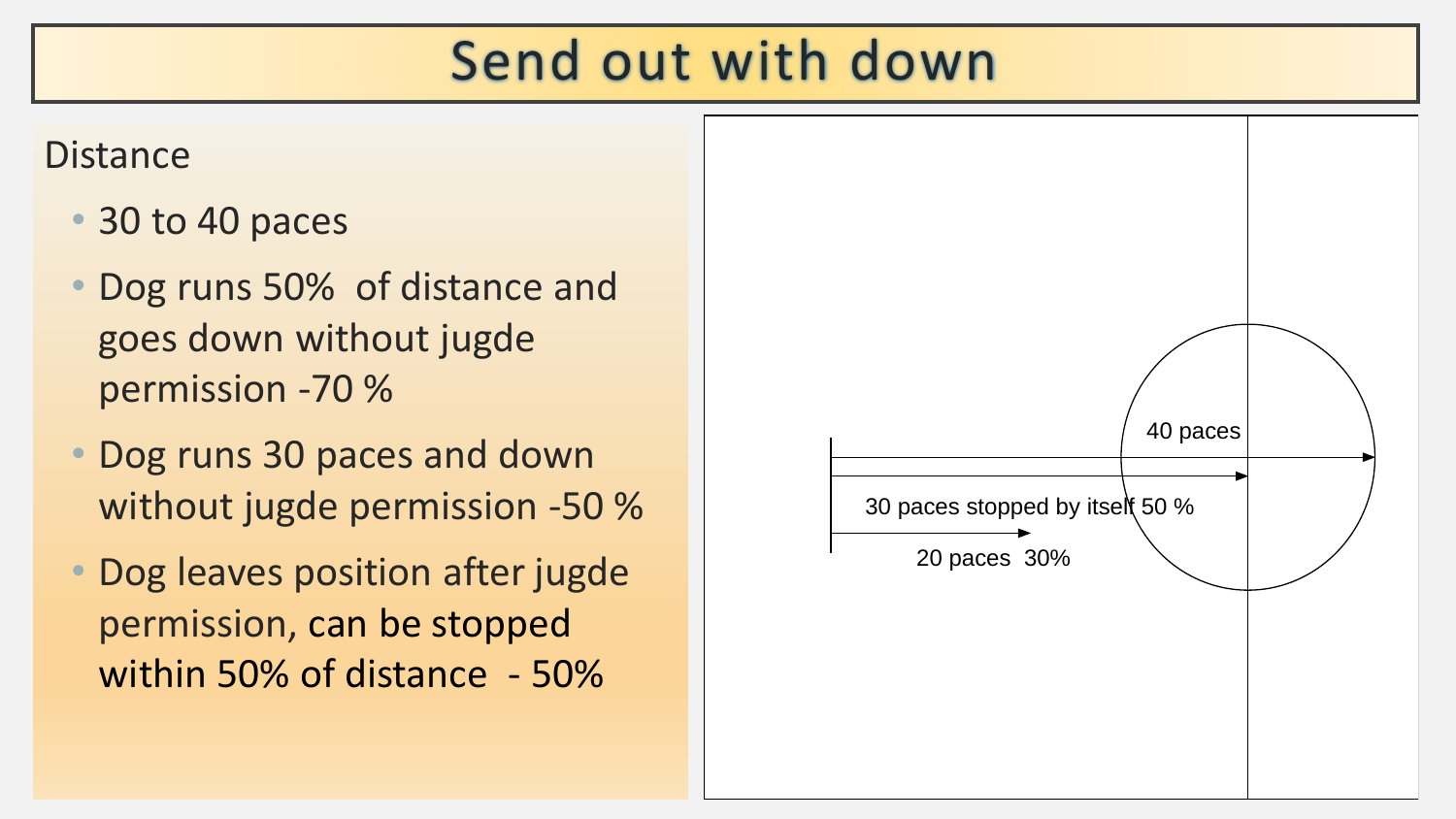#### Send out with down

#### **Distance**

- 30 to 40 paces
- Dog runs 50% of distance and goes down without jugde permission -70 %
- Dog runs 30 paces and down without jugde permission -50 %
- Dog leaves position after jugde permission, can be stopped within 50% of distance - 50%

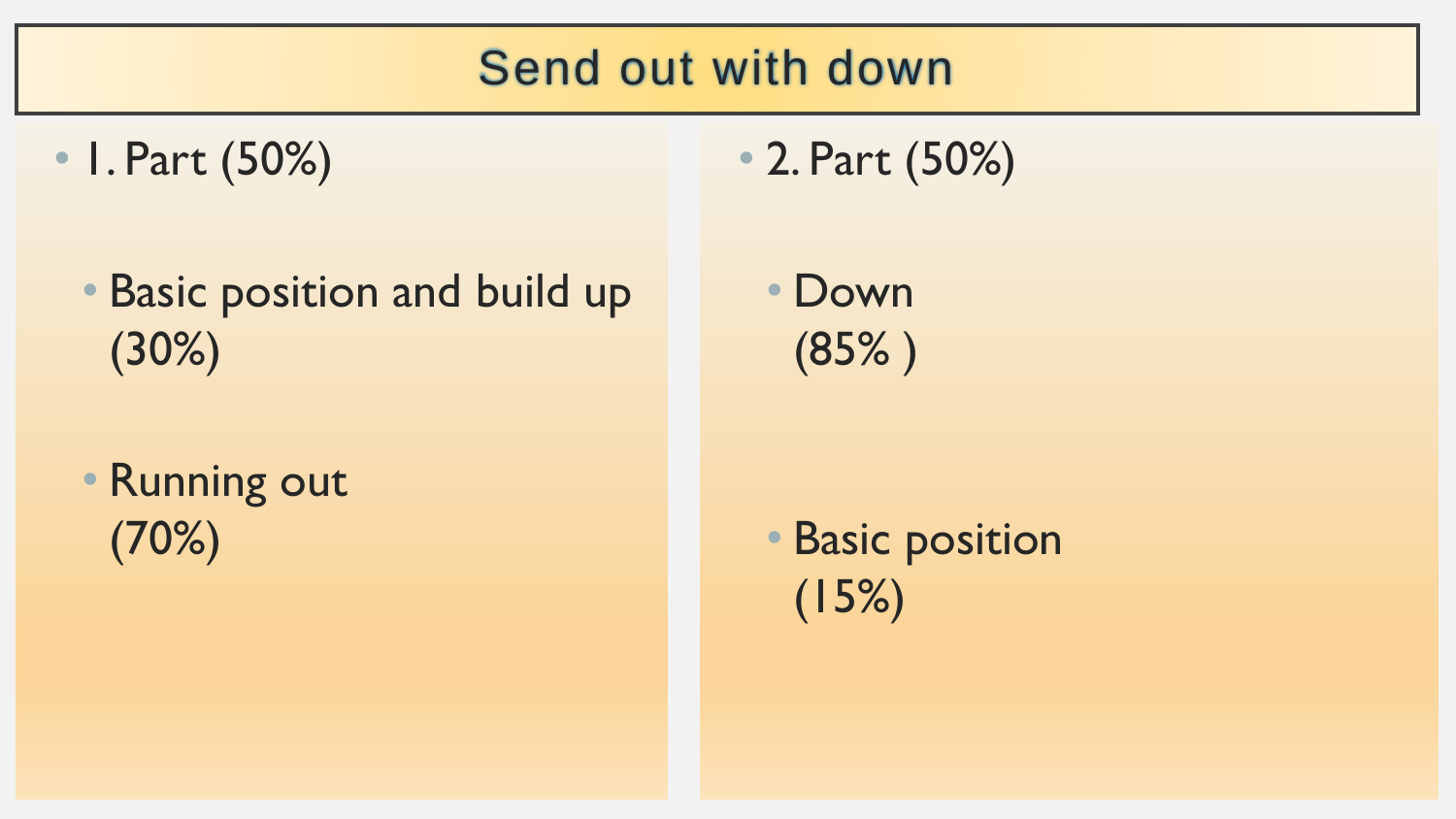#### Send out with down

- I. Part (50%)
	- Basic position and build up (30%)
	- Running out (70%)

• 2. Part (50%)

• Down (85% )

• Basic position (15%)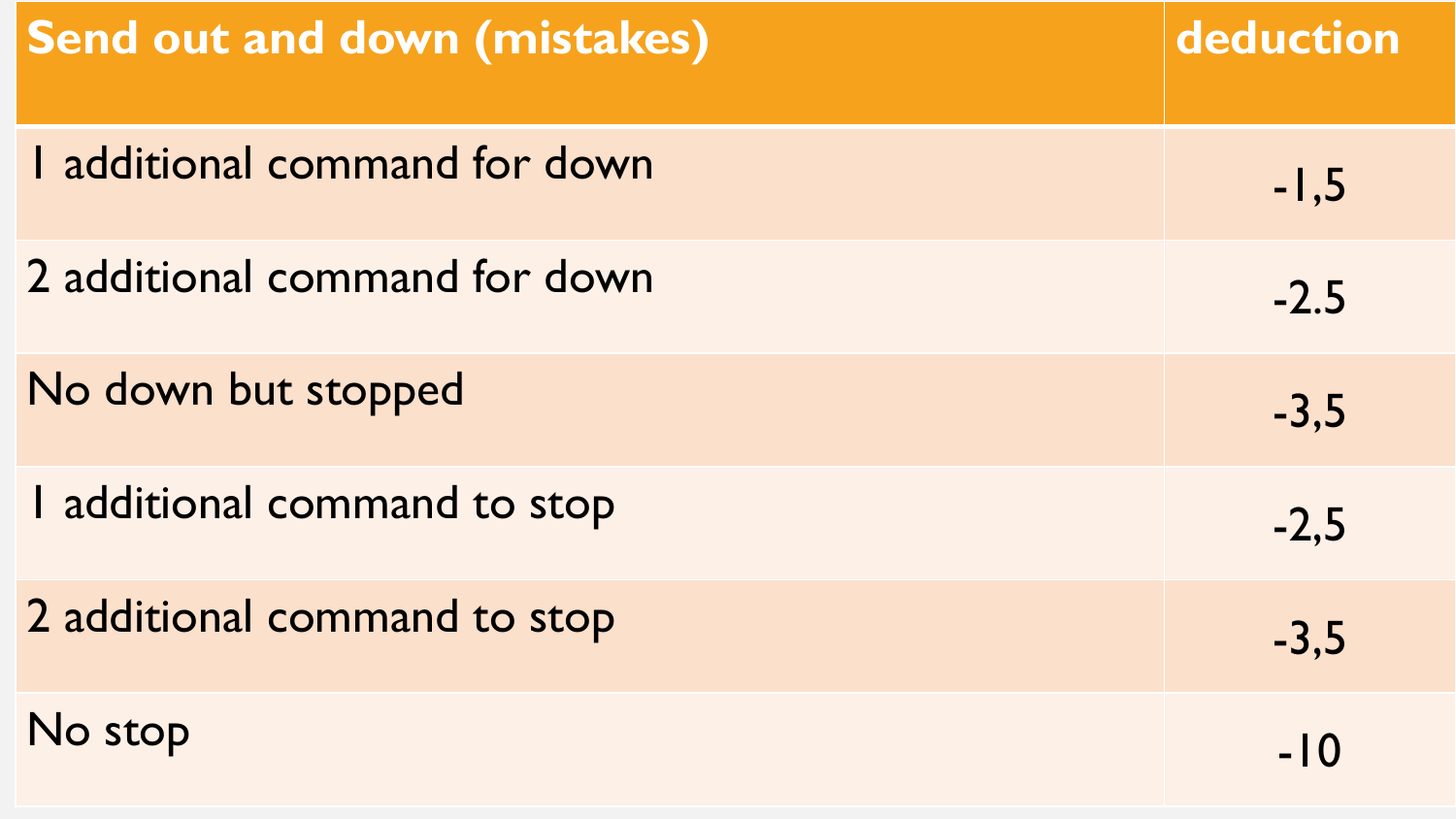| <b>Send out and down (mistakes)</b> | deduction |
|-------------------------------------|-----------|
| I additional command for down       | $-1,5$    |
| 2 additional command for down       | $-2.5$    |
| No down but stopped                 | $-3,5$    |
| I additional command to stop        | $-2,5$    |
| 2 additional command to stop        | $-3,5$    |
| No stop                             | -10       |